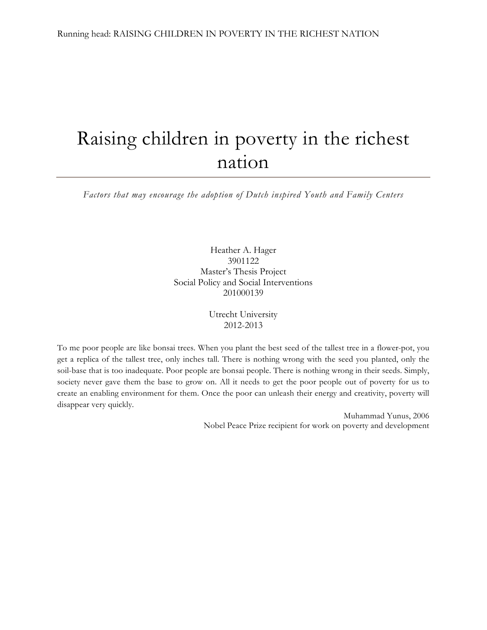# Raising children in poverty in the richest nation

*Factors that may encourage the adoption of Dutch inspired Youth and Family Centers*

Heather A. Hager 3901122 Master's Thesis Project Social Policy and Social Interventions 201000139

> Utrecht University 2012-2013

To me poor people are like bonsai trees. When you plant the best seed of the tallest tree in a flower-pot, you get a replica of the tallest tree, only inches tall. There is nothing wrong with the seed you planted, only the soil-base that is too inadequate. Poor people are bonsai people. There is nothing wrong in their seeds. Simply, society never gave them the base to grow on. All it needs to get the poor people out of poverty for us to create an enabling environment for them. Once the poor can unleash their energy and creativity, poverty will disappear very quickly.

> Muhammad Yunus, 2006 Nobel Peace Prize recipient for work on poverty and development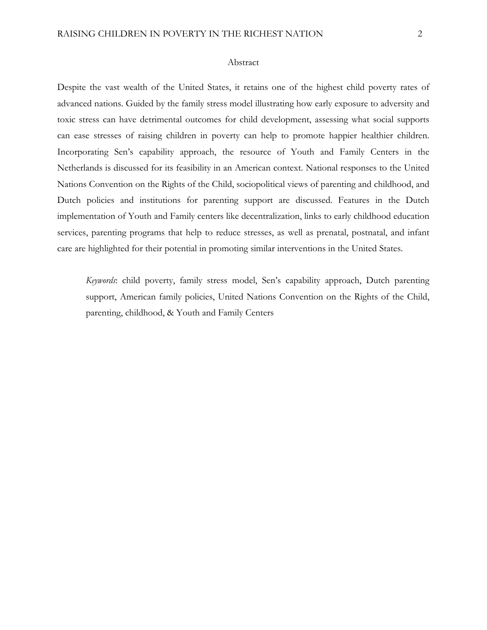#### Abstract

Despite the vast wealth of the United States, it retains one of the highest child poverty rates of advanced nations. Guided by the family stress model illustrating how early exposure to adversity and toxic stress can have detrimental outcomes for child development, assessing what social supports can ease stresses of raising children in poverty can help to promote happier healthier children. Incorporating Sen's capability approach, the resource of Youth and Family Centers in the Netherlands is discussed for its feasibility in an American context. National responses to the United Nations Convention on the Rights of the Child, sociopolitical views of parenting and childhood, and Dutch policies and institutions for parenting support are discussed. Features in the Dutch implementation of Youth and Family centers like decentralization, links to early childhood education services, parenting programs that help to reduce stresses, as well as prenatal, postnatal, and infant care are highlighted for their potential in promoting similar interventions in the United States.

*Keywords*: child poverty, family stress model, Sen's capability approach, Dutch parenting support, American family policies, United Nations Convention on the Rights of the Child, parenting, childhood, & Youth and Family Centers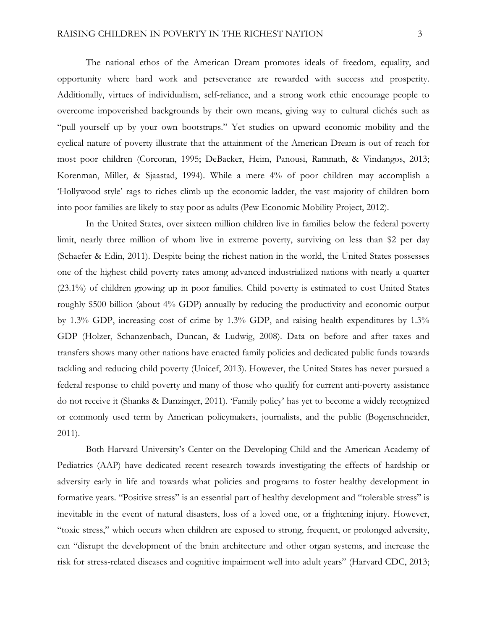The national ethos of the American Dream promotes ideals of freedom, equality, and opportunity where hard work and perseverance are rewarded with success and prosperity. Additionally, virtues of individualism, self-reliance, and a strong work ethic encourage people to overcome impoverished backgrounds by their own means, giving way to cultural clichés such as "pull yourself up by your own bootstraps." Yet studies on upward economic mobility and the cyclical nature of poverty illustrate that the attainment of the American Dream is out of reach for most poor children (Corcoran, 1995; DeBacker, Heim, Panousi, Ramnath, & Vindangos, 2013; Korenman, Miller, & Sjaastad, 1994). While a mere 4% of poor children may accomplish a 'Hollywood style' rags to riches climb up the economic ladder, the vast majority of children born into poor families are likely to stay poor as adults (Pew Economic Mobility Project, 2012).

In the United States, over sixteen million children live in families below the federal poverty limit, nearly three million of whom live in extreme poverty, surviving on less than \$2 per day (Schaefer & Edin, 2011). Despite being the richest nation in the world, the United States possesses one of the highest child poverty rates among advanced industrialized nations with nearly a quarter (23.1%) of children growing up in poor families. Child poverty is estimated to cost United States roughly \$500 billion (about 4% GDP) annually by reducing the productivity and economic output by 1.3% GDP, increasing cost of crime by 1.3% GDP, and raising health expenditures by 1.3% GDP (Holzer, Schanzenbach, Duncan, & Ludwig, 2008). Data on before and after taxes and transfers shows many other nations have enacted family policies and dedicated public funds towards tackling and reducing child poverty (Unicef, 2013). However, the United States has never pursued a federal response to child poverty and many of those who qualify for current anti-poverty assistance do not receive it (Shanks & Danzinger, 2011). 'Family policy' has yet to become a widely recognized or commonly used term by American policymakers, journalists, and the public (Bogenschneider, 2011).

Both Harvard University's Center on the Developing Child and the American Academy of Pediatrics (AAP) have dedicated recent research towards investigating the effects of hardship or adversity early in life and towards what policies and programs to foster healthy development in formative years. "Positive stress" is an essential part of healthy development and "tolerable stress" is inevitable in the event of natural disasters, loss of a loved one, or a frightening injury. However, "toxic stress," which occurs when children are exposed to strong, frequent, or prolonged adversity, can "disrupt the development of the brain architecture and other organ systems, and increase the risk for stress-related diseases and cognitive impairment well into adult years" (Harvard CDC, 2013;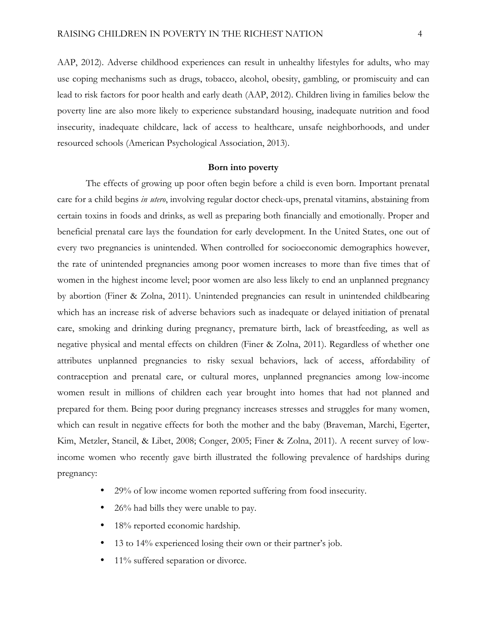AAP, 2012). Adverse childhood experiences can result in unhealthy lifestyles for adults, who may use coping mechanisms such as drugs, tobacco, alcohol, obesity, gambling, or promiscuity and can lead to risk factors for poor health and early death (AAP, 2012). Children living in families below the poverty line are also more likely to experience substandard housing, inadequate nutrition and food insecurity, inadequate childcare, lack of access to healthcare, unsafe neighborhoods, and under resourced schools (American Psychological Association, 2013).

# **Born into poverty**

The effects of growing up poor often begin before a child is even born. Important prenatal care for a child begins *in utero*, involving regular doctor check-ups, prenatal vitamins, abstaining from certain toxins in foods and drinks, as well as preparing both financially and emotionally. Proper and beneficial prenatal care lays the foundation for early development. In the United States, one out of every two pregnancies is unintended. When controlled for socioeconomic demographics however, the rate of unintended pregnancies among poor women increases to more than five times that of women in the highest income level; poor women are also less likely to end an unplanned pregnancy by abortion (Finer & Zolna, 2011). Unintended pregnancies can result in unintended childbearing which has an increase risk of adverse behaviors such as inadequate or delayed initiation of prenatal care, smoking and drinking during pregnancy, premature birth, lack of breastfeeding, as well as negative physical and mental effects on children (Finer & Zolna, 2011). Regardless of whether one attributes unplanned pregnancies to risky sexual behaviors, lack of access, affordability of contraception and prenatal care, or cultural mores, unplanned pregnancies among low-income women result in millions of children each year brought into homes that had not planned and prepared for them. Being poor during pregnancy increases stresses and struggles for many women, which can result in negative effects for both the mother and the baby (Braveman, Marchi, Egerter, Kim, Metzler, Stancil, & Libet, 2008; Conger, 2005; Finer & Zolna, 2011). A recent survey of lowincome women who recently gave birth illustrated the following prevalence of hardships during pregnancy:

- 29% of low income women reported suffering from food insecurity.
- 26% had bills they were unable to pay.
- 18% reported economic hardship.
- 13 to 14% experienced losing their own or their partner's job.
- 11% suffered separation or divorce.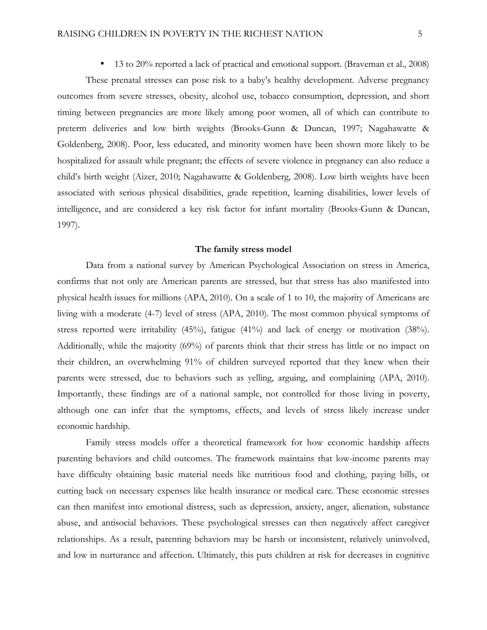These prenatal stresses can pose risk to a baby's healthy development. Adverse pregnancy outcomes from severe stresses, obesity, alcohol use, tobacco consumption, depression, and short timing between pregnancies are more likely among poor women, all of which can contribute to preterm deliveries and low birth weights (Brooks-Gunn & Duncan, 1997; Nagahawatte & Goldenberg, 2008). Poor, less educated, and minority women have been shown more likely to be hospitalized for assault while pregnant; the effects of severe violence in pregnancy can also reduce a child's birth weight (Aizer, 2010; Nagahawatte & Goldenberg, 2008). Low birth weights have been associated with serious physical disabilities, grade repetition, learning disabilities, lower levels of intelligence, and are considered a key risk factor for infant mortality (Brooks-Gunn & Duncan, 1997).

# **The family stress model**

Data from a national survey by American Psychological Association on stress in America, confirms that not only are American parents are stressed, but that stress has also manifested into physical health issues for millions (APA, 2010). On a scale of 1 to 10, the majority of Americans are living with a moderate (4-7) level of stress (APA, 2010). The most common physical symptoms of stress reported were irritability  $(45\%)$ , fatigue  $(41\%)$  and lack of energy or motivation  $(38\%)$ . Additionally, while the majority (69%) of parents think that their stress has little or no impact on their children, an overwhelming 91% of children surveyed reported that they knew when their parents were stressed, due to behaviors such as yelling, arguing, and complaining (APA, 2010). Importantly, these findings are of a national sample, not controlled for those living in poverty, although one can infer that the symptoms, effects, and levels of stress likely increase under economic hardship.

Family stress models offer a theoretical framework for how economic hardship affects parenting behaviors and child outcomes. The framework maintains that low-income parents may have difficulty obtaining basic material needs like nutritious food and clothing, paying bills, or cutting back on necessary expenses like health insurance or medical care. These economic stresses can then manifest into emotional distress, such as depression, anxiety, anger, alienation, substance abuse, and antisocial behaviors. These psychological stresses can then negatively affect caregiver relationships. As a result, parenting behaviors may be harsh or inconsistent, relatively uninvolved, and low in nurturance and affection. Ultimately, this puts children at risk for decreases in cognitive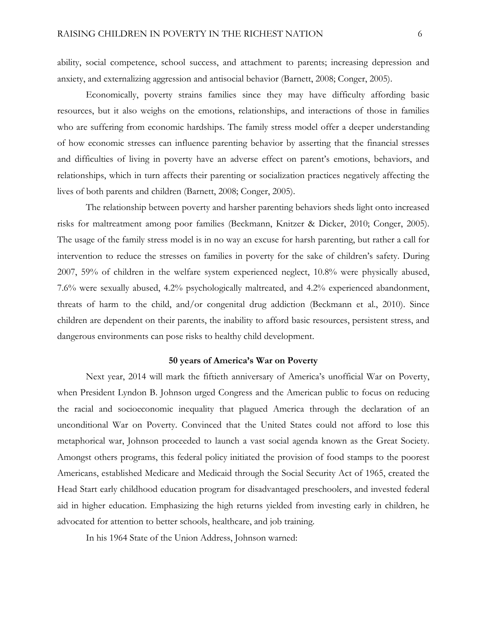ability, social competence, school success, and attachment to parents; increasing depression and anxiety, and externalizing aggression and antisocial behavior (Barnett, 2008; Conger, 2005).

Economically, poverty strains families since they may have difficulty affording basic resources, but it also weighs on the emotions, relationships, and interactions of those in families who are suffering from economic hardships. The family stress model offer a deeper understanding of how economic stresses can influence parenting behavior by asserting that the financial stresses and difficulties of living in poverty have an adverse effect on parent's emotions, behaviors, and relationships, which in turn affects their parenting or socialization practices negatively affecting the lives of both parents and children (Barnett, 2008; Conger, 2005).

The relationship between poverty and harsher parenting behaviors sheds light onto increased risks for maltreatment among poor families (Beckmann, Knitzer & Dicker, 2010; Conger, 2005). The usage of the family stress model is in no way an excuse for harsh parenting, but rather a call for intervention to reduce the stresses on families in poverty for the sake of children's safety. During 2007, 59% of children in the welfare system experienced neglect, 10.8% were physically abused, 7.6% were sexually abused, 4.2% psychologically maltreated, and 4.2% experienced abandonment, threats of harm to the child, and/or congenital drug addiction (Beckmann et al., 2010). Since children are dependent on their parents, the inability to afford basic resources, persistent stress, and dangerous environments can pose risks to healthy child development.

# **50 years of America's War on Poverty**

Next year, 2014 will mark the fiftieth anniversary of America's unofficial War on Poverty, when President Lyndon B. Johnson urged Congress and the American public to focus on reducing the racial and socioeconomic inequality that plagued America through the declaration of an unconditional War on Poverty. Convinced that the United States could not afford to lose this metaphorical war, Johnson proceeded to launch a vast social agenda known as the Great Society. Amongst others programs, this federal policy initiated the provision of food stamps to the poorest Americans, established Medicare and Medicaid through the Social Security Act of 1965, created the Head Start early childhood education program for disadvantaged preschoolers, and invested federal aid in higher education. Emphasizing the high returns yielded from investing early in children, he advocated for attention to better schools, healthcare, and job training.

In his 1964 State of the Union Address, Johnson warned: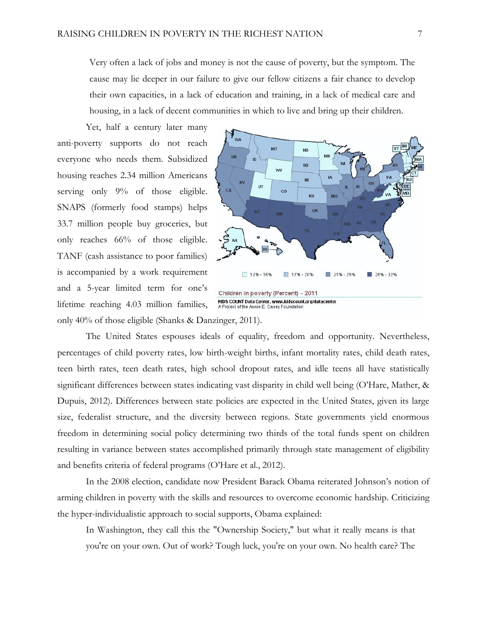Very often a lack of jobs and money is not the cause of poverty, but the symptom. The cause may lie deeper in our failure to give our fellow citizens a fair chance to develop their own capacities, in a lack of education and training, in a lack of medical care and housing, in a lack of decent communities in which to live and bring up their children.

Yet, half a century later many anti-poverty supports do not reach everyone who needs them. Subsidized housing reaches 2.34 million Americans serving only  $9\%$  of those eligible. SNAPS (formerly food stamps) helps 33.7 million people buy groceries, but only reaches 66% of those eligible. TANF (cash assistance to poor families) is accompanied by a work requirement and a 5-year limited term for one's lifetime reaching 4.03 million families, only 40% of those eligible (Shanks & Danzinger, 2011).



The United States espouses ideals of equality, freedom and opportunity. Nevertheless, percentages of child poverty rates, low birth-weight births, infant mortality rates, child death rates, teen birth rates, teen death rates, high school dropout rates, and idle teens all have statistically significant differences between states indicating vast disparity in child well being (O'Hare, Mather, & Dupuis, 2012). Differences between state policies are expected in the United States, given its large size, federalist structure, and the diversity between regions. State governments yield enormous freedom in determining social policy determining two thirds of the total funds spent on children resulting in variance between states accomplished primarily through state management of eligibility and benefits criteria of federal programs (O'Hare et al., 2012).

In the 2008 election, candidate now President Barack Obama reiterated Johnson's notion of arming children in poverty with the skills and resources to overcome economic hardship. Criticizing the hyper-individualistic approach to social supports, Obama explained:

In Washington, they call this the "Ownership Society," but what it really means is that you're on your own. Out of work? Tough luck, you're on your own. No health care? The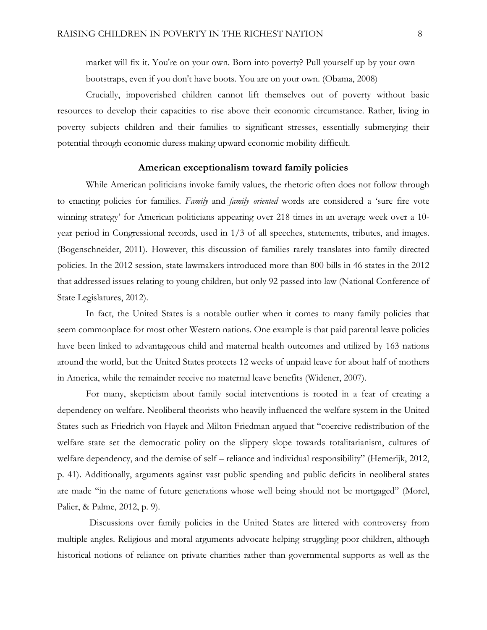market will fix it. You're on your own. Born into poverty? Pull yourself up by your own bootstraps, even if you don't have boots. You are on your own. (Obama, 2008)

Crucially, impoverished children cannot lift themselves out of poverty without basic resources to develop their capacities to rise above their economic circumstance. Rather, living in poverty subjects children and their families to significant stresses, essentially submerging their potential through economic duress making upward economic mobility difficult.

### **American exceptionalism toward family policies**

While American politicians invoke family values, the rhetoric often does not follow through to enacting policies for families. *Family* and *family oriented* words are considered a 'sure fire vote winning strategy' for American politicians appearing over 218 times in an average week over a 10 year period in Congressional records, used in 1/3 of all speeches, statements, tributes, and images. (Bogenschneider, 2011)*.* However, this discussion of families rarely translates into family directed policies. In the 2012 session, state lawmakers introduced more than 800 bills in 46 states in the 2012 that addressed issues relating to young children, but only 92 passed into law (National Conference of State Legislatures, 2012).

In fact, the United States is a notable outlier when it comes to many family policies that seem commonplace for most other Western nations. One example is that paid parental leave policies have been linked to advantageous child and maternal health outcomes and utilized by 163 nations around the world, but the United States protects 12 weeks of unpaid leave for about half of mothers in America, while the remainder receive no maternal leave benefits (Widener, 2007).

For many, skepticism about family social interventions is rooted in a fear of creating a dependency on welfare. Neoliberal theorists who heavily influenced the welfare system in the United States such as Friedrich von Hayek and Milton Friedman argued that "coercive redistribution of the welfare state set the democratic polity on the slippery slope towards totalitarianism, cultures of welfare dependency, and the demise of self – reliance and individual responsibility" (Hemerijk, 2012, p. 41). Additionally, arguments against vast public spending and public deficits in neoliberal states are made "in the name of future generations whose well being should not be mortgaged" (Morel, Palier, & Palme, 2012, p. 9).

Discussions over family policies in the United States are littered with controversy from multiple angles. Religious and moral arguments advocate helping struggling poor children, although historical notions of reliance on private charities rather than governmental supports as well as the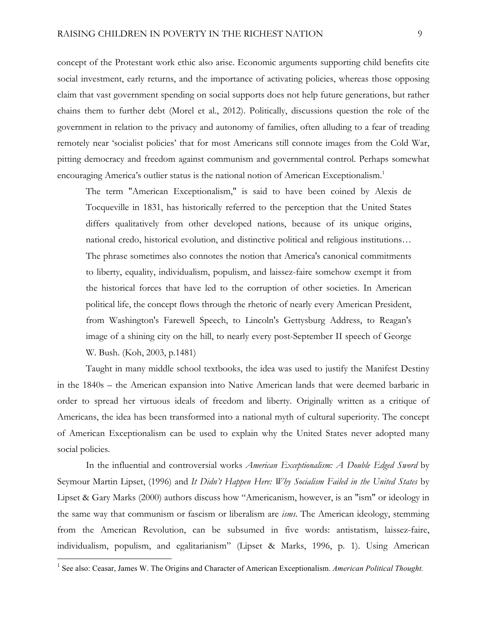concept of the Protestant work ethic also arise. Economic arguments supporting child benefits cite social investment, early returns, and the importance of activating policies, whereas those opposing claim that vast government spending on social supports does not help future generations, but rather chains them to further debt (Morel et al., 2012). Politically, discussions question the role of the government in relation to the privacy and autonomy of families, often alluding to a fear of treading remotely near 'socialist policies' that for most Americans still connote images from the Cold War, pitting democracy and freedom against communism and governmental control. Perhaps somewhat encouraging America's outlier status is the national notion of American Exceptionalism.<sup>1</sup>

The term "American Exceptionalism," is said to have been coined by Alexis de Tocqueville in 1831, has historically referred to the perception that the United States differs qualitatively from other developed nations, because of its unique origins, national credo, historical evolution, and distinctive political and religious institutions… The phrase sometimes also connotes the notion that America's canonical commitments to liberty, equality, individualism, populism, and laissez-faire somehow exempt it from the historical forces that have led to the corruption of other societies. In American political life, the concept flows through the rhetoric of nearly every American President, from Washington's Farewell Speech, to Lincoln's Gettysburg Address, to Reagan's image of a shining city on the hill, to nearly every post-September II speech of George W. Bush. (Koh, 2003, p.1481)

Taught in many middle school textbooks, the idea was used to justify the Manifest Destiny in the 1840s – the American expansion into Native American lands that were deemed barbaric in order to spread her virtuous ideals of freedom and liberty. Originally written as a critique of Americans, the idea has been transformed into a national myth of cultural superiority. The concept of American Exceptionalism can be used to explain why the United States never adopted many social policies.

In the influential and controversial works *American Exceptionalism: A Double Edged Sword* by Seymour Martin Lipset, (1996) and *It Didn't Happen Here: Why Socialism Failed in the United States* by Lipset & Gary Marks (2000) authors discuss how "Americanism, however, is an "ism" or ideology in the same way that communism or fascism or liberalism are *isms*. The American ideology, stemming from the American Revolution, can be subsumed in five words: antistatism, laissez-faire, individualism, populism, and egalitarianism" (Lipset & Marks, 1996, p. 1). Using American

<sup>&</sup>lt;sup>1</sup> See also: Ceasar, James W. The Origins and Character of American Exceptionalism. American Political Thought.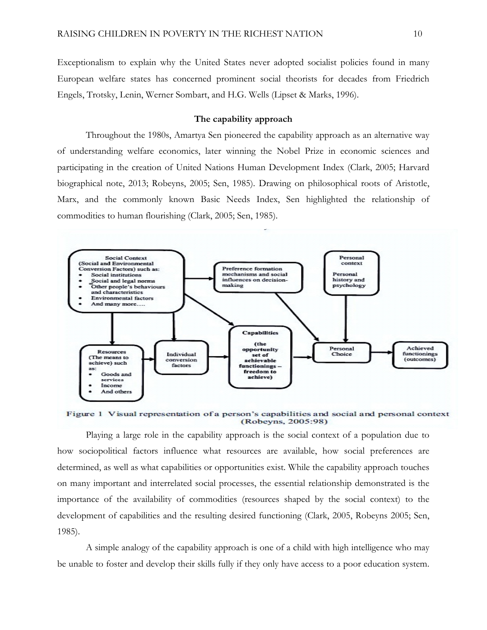Exceptionalism to explain why the United States never adopted socialist policies found in many European welfare states has concerned prominent social theorists for decades from Friedrich Engels, Trotsky, Lenin, Werner Sombart, and H.G. Wells (Lipset & Marks, 1996).

# **The capability approach**

Throughout the 1980s, Amartya Sen pioneered the capability approach as an alternative way of understanding welfare economics, later winning the Nobel Prize in economic sciences and participating in the creation of United Nations Human Development Index (Clark, 2005; Harvard biographical note, 2013; Robeyns, 2005; Sen, 1985). Drawing on philosophical roots of Aristotle, Marx, and the commonly known Basic Needs Index, Sen highlighted the relationship of commodities to human flourishing (Clark, 2005; Sen, 1985).



Figure 1 Visual representation of a person's capabilities and social and personal context (Robeyns, 2005:98)

Playing a large role in the capability approach is the social context of a population due to how sociopolitical factors influence what resources are available, how social preferences are determined, as well as what capabilities or opportunities exist. While the capability approach touches on many important and interrelated social processes, the essential relationship demonstrated is the importance of the availability of commodities (resources shaped by the social context) to the development of capabilities and the resulting desired functioning (Clark, 2005, Robeyns 2005; Sen, 1985).

A simple analogy of the capability approach is one of a child with high intelligence who may be unable to foster and develop their skills fully if they only have access to a poor education system.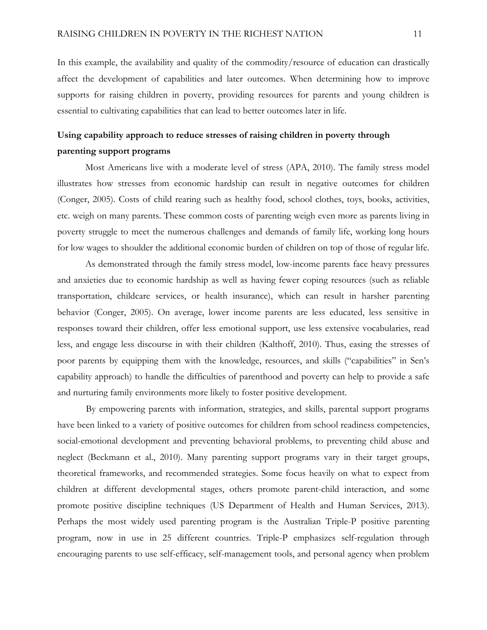In this example, the availability and quality of the commodity/resource of education can drastically affect the development of capabilities and later outcomes. When determining how to improve supports for raising children in poverty, providing resources for parents and young children is essential to cultivating capabilities that can lead to better outcomes later in life.

# **Using capability approach to reduce stresses of raising children in poverty through parenting support programs**

Most Americans live with a moderate level of stress (APA, 2010). The family stress model illustrates how stresses from economic hardship can result in negative outcomes for children (Conger, 2005). Costs of child rearing such as healthy food, school clothes, toys, books, activities, etc. weigh on many parents. These common costs of parenting weigh even more as parents living in poverty struggle to meet the numerous challenges and demands of family life, working long hours for low wages to shoulder the additional economic burden of children on top of those of regular life.

As demonstrated through the family stress model, low-income parents face heavy pressures and anxieties due to economic hardship as well as having fewer coping resources (such as reliable transportation, childcare services, or health insurance), which can result in harsher parenting behavior (Conger, 2005). On average, lower income parents are less educated, less sensitive in responses toward their children, offer less emotional support, use less extensive vocabularies, read less, and engage less discourse in with their children (Kalthoff, 2010). Thus, easing the stresses of poor parents by equipping them with the knowledge, resources, and skills ("capabilities" in Sen's capability approach) to handle the difficulties of parenthood and poverty can help to provide a safe and nurturing family environments more likely to foster positive development.

By empowering parents with information, strategies, and skills, parental support programs have been linked to a variety of positive outcomes for children from school readiness competencies, social-emotional development and preventing behavioral problems, to preventing child abuse and neglect (Beckmann et al., 2010). Many parenting support programs vary in their target groups, theoretical frameworks, and recommended strategies. Some focus heavily on what to expect from children at different developmental stages, others promote parent-child interaction, and some promote positive discipline techniques (US Department of Health and Human Services, 2013). Perhaps the most widely used parenting program is the Australian Triple-P positive parenting program, now in use in 25 different countries. Triple-P emphasizes self-regulation through encouraging parents to use self-efficacy, self-management tools, and personal agency when problem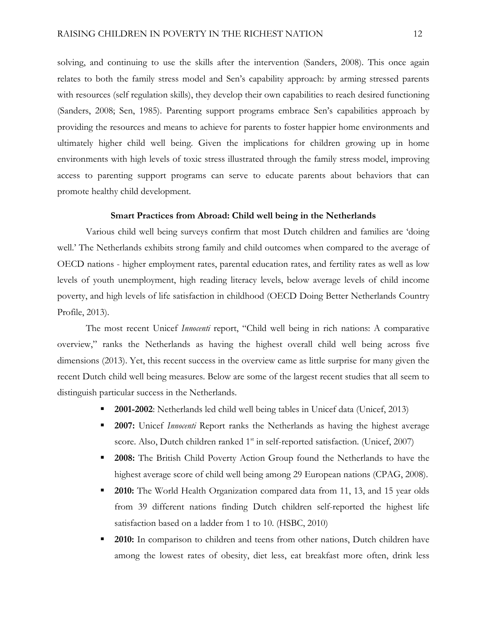solving, and continuing to use the skills after the intervention (Sanders, 2008). This once again relates to both the family stress model and Sen's capability approach: by arming stressed parents with resources (self regulation skills), they develop their own capabilities to reach desired functioning (Sanders, 2008; Sen, 1985). Parenting support programs embrace Sen's capabilities approach by providing the resources and means to achieve for parents to foster happier home environments and ultimately higher child well being. Given the implications for children growing up in home environments with high levels of toxic stress illustrated through the family stress model, improving access to parenting support programs can serve to educate parents about behaviors that can promote healthy child development.

#### **Smart Practices from Abroad: Child well being in the Netherlands**

Various child well being surveys confirm that most Dutch children and families are 'doing well.' The Netherlands exhibits strong family and child outcomes when compared to the average of OECD nations - higher employment rates, parental education rates, and fertility rates as well as low levels of youth unemployment, high reading literacy levels, below average levels of child income poverty, and high levels of life satisfaction in childhood (OECD Doing Better Netherlands Country Profile, 2013).

The most recent Unicef *Innocenti* report, "Child well being in rich nations: A comparative overview," ranks the Netherlands as having the highest overall child well being across five dimensions (2013). Yet, this recent success in the overview came as little surprise for many given the recent Dutch child well being measures. Below are some of the largest recent studies that all seem to distinguish particular success in the Netherlands.

- § **2001-2002**: Netherlands led child well being tables in Unicef data (Unicef, 2013)
- § **2007:** Unicef *Innocenti* Report ranks the Netherlands as having the highest average score. Also, Dutch children ranked  $1<sup>st</sup>$  in self-reported satisfaction. (Unicef, 2007)
- § **2008:** The British Child Poverty Action Group found the Netherlands to have the highest average score of child well being among 29 European nations (CPAG, 2008).
- **2010:** The World Health Organization compared data from 11, 13, and 15 year olds from 39 different nations finding Dutch children self-reported the highest life satisfaction based on a ladder from 1 to 10. (HSBC, 2010)
- **2010:** In comparison to children and teens from other nations, Dutch children have among the lowest rates of obesity, diet less, eat breakfast more often, drink less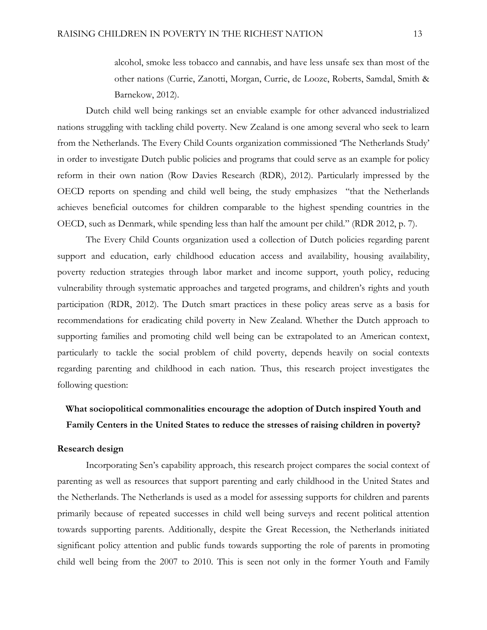alcohol, smoke less tobacco and cannabis, and have less unsafe sex than most of the other nations (Currie, Zanotti, Morgan, Currie, de Looze, Roberts, Samdal, Smith & Barnekow, 2012).

Dutch child well being rankings set an enviable example for other advanced industrialized nations struggling with tackling child poverty. New Zealand is one among several who seek to learn from the Netherlands. The Every Child Counts organization commissioned 'The Netherlands Study' in order to investigate Dutch public policies and programs that could serve as an example for policy reform in their own nation (Row Davies Research (RDR), 2012). Particularly impressed by the OECD reports on spending and child well being, the study emphasizes "that the Netherlands achieves beneficial outcomes for children comparable to the highest spending countries in the OECD, such as Denmark, while spending less than half the amount per child." (RDR 2012, p. 7).

The Every Child Counts organization used a collection of Dutch policies regarding parent support and education, early childhood education access and availability, housing availability, poverty reduction strategies through labor market and income support, youth policy, reducing vulnerability through systematic approaches and targeted programs, and children's rights and youth participation (RDR, 2012). The Dutch smart practices in these policy areas serve as a basis for recommendations for eradicating child poverty in New Zealand. Whether the Dutch approach to supporting families and promoting child well being can be extrapolated to an American context, particularly to tackle the social problem of child poverty, depends heavily on social contexts regarding parenting and childhood in each nation. Thus, this research project investigates the following question:

# **What sociopolitical commonalities encourage the adoption of Dutch inspired Youth and Family Centers in the United States to reduce the stresses of raising children in poverty?**

# **Research design**

Incorporating Sen's capability approach, this research project compares the social context of parenting as well as resources that support parenting and early childhood in the United States and the Netherlands. The Netherlands is used as a model for assessing supports for children and parents primarily because of repeated successes in child well being surveys and recent political attention towards supporting parents. Additionally, despite the Great Recession, the Netherlands initiated significant policy attention and public funds towards supporting the role of parents in promoting child well being from the 2007 to 2010. This is seen not only in the former Youth and Family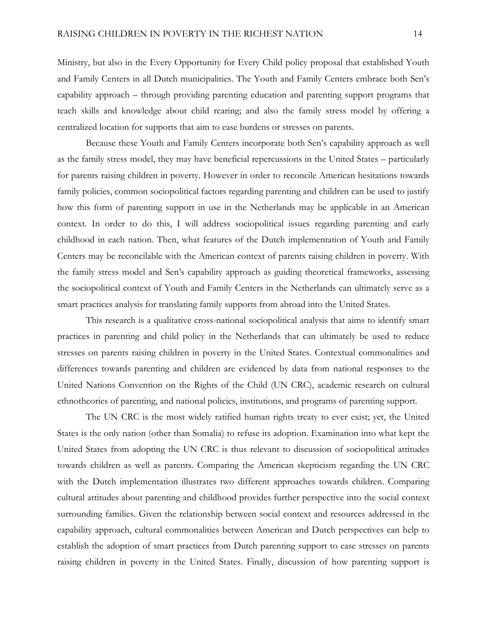Ministry, but also in the Every Opportunity for Every Child policy proposal that established Youth and Family Centers in all Dutch municipalities. The Youth and Family Centers embrace both Sen's capability approach – through providing parenting education and parenting support programs that teach skills and knowledge about child rearing; and also the family stress model by offering a centralized location for supports that aim to ease burdens or stresses on parents.

Because these Youth and Family Centers incorporate both Sen's capability approach as well as the family stress model, they may have beneficial repercussions in the United States – particularly for parents raising children in poverty. However in order to reconcile American hesitations towards family policies, common sociopolitical factors regarding parenting and children can be used to justify how this form of parenting support in use in the Netherlands may be applicable in an American context. In order to do this, I will address sociopolitical issues regarding parenting and early childhood in each nation. Then, what features of the Dutch implementation of Youth and Family Centers may be reconcilable with the American context of parents raising children in poverty. With the family stress model and Sen's capability approach as guiding theoretical frameworks, assessing the sociopolitical context of Youth and Family Centers in the Netherlands can ultimately serve as a smart practices analysis for translating family supports from abroad into the United States.

This research is a qualitative cross-national sociopolitical analysis that aims to identify smart practices in parenting and child policy in the Netherlands that can ultimately be used to reduce stresses on parents raising children in poverty in the United States. Contextual commonalities and differences towards parenting and children are evidenced by data from national responses to the United Nations Convention on the Rights of the Child (UN CRC), academic research on cultural ethnotheories of parenting, and national policies, institutions, and programs of parenting support.

The UN CRC is the most widely ratified human rights treaty to ever exist; yet, the United States is the only nation (other than Somalia) to refuse its adoption. Examination into what kept the United States from adopting the UN CRC is thus relevant to discussion of sociopolitical attitudes towards children as well as parents. Comparing the American skepticism regarding the UN CRC with the Dutch implementation illustrates two different approaches towards children. Comparing cultural attitudes about parenting and childhood provides further perspective into the social context surrounding families. Given the relationship between social context and resources addressed in the capability approach, cultural commonalities between American and Dutch perspectives can help to establish the adoption of smart practices from Dutch parenting support to ease stresses on parents raising children in poverty in the United States. Finally, discussion of how parenting support is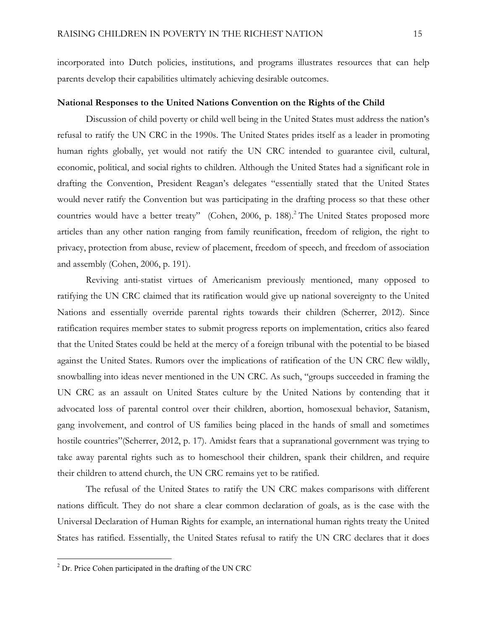incorporated into Dutch policies, institutions, and programs illustrates resources that can help parents develop their capabilities ultimately achieving desirable outcomes.

# **National Responses to the United Nations Convention on the Rights of the Child**

Discussion of child poverty or child well being in the United States must address the nation's refusal to ratify the UN CRC in the 1990s. The United States prides itself as a leader in promoting human rights globally, yet would not ratify the UN CRC intended to guarantee civil, cultural, economic, political, and social rights to children. Although the United States had a significant role in drafting the Convention, President Reagan's delegates "essentially stated that the United States would never ratify the Convention but was participating in the drafting process so that these other countries would have a better treaty" (Cohen, 2006, p. 188).<sup>2</sup> The United States proposed more articles than any other nation ranging from family reunification, freedom of religion, the right to privacy, protection from abuse, review of placement, freedom of speech, and freedom of association and assembly (Cohen, 2006, p. 191).

Reviving anti-statist virtues of Americanism previously mentioned, many opposed to ratifying the UN CRC claimed that its ratification would give up national sovereignty to the United Nations and essentially override parental rights towards their children (Scherrer, 2012). Since ratification requires member states to submit progress reports on implementation, critics also feared that the United States could be held at the mercy of a foreign tribunal with the potential to be biased against the United States. Rumors over the implications of ratification of the UN CRC flew wildly, snowballing into ideas never mentioned in the UN CRC. As such, "groups succeeded in framing the UN CRC as an assault on United States culture by the United Nations by contending that it advocated loss of parental control over their children, abortion, homosexual behavior, Satanism, gang involvement, and control of US families being placed in the hands of small and sometimes hostile countries"(Scherrer, 2012, p. 17). Amidst fears that a supranational government was trying to take away parental rights such as to homeschool their children, spank their children, and require their children to attend church, the UN CRC remains yet to be ratified.

The refusal of the United States to ratify the UN CRC makes comparisons with different nations difficult. They do not share a clear common declaration of goals, as is the case with the Universal Declaration of Human Rights for example, an international human rights treaty the United States has ratified. Essentially, the United States refusal to ratify the UN CRC declares that it does

<sup>2</sup> Dr. Price Cohen participated in the drafting of the UN CRC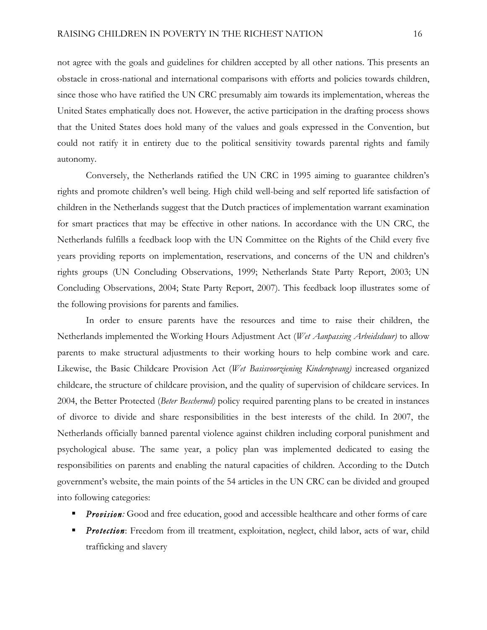not agree with the goals and guidelines for children accepted by all other nations. This presents an obstacle in cross-national and international comparisons with efforts and policies towards children, since those who have ratified the UN CRC presumably aim towards its implementation, whereas the United States emphatically does not. However, the active participation in the drafting process shows that the United States does hold many of the values and goals expressed in the Convention, but could not ratify it in entirety due to the political sensitivity towards parental rights and family autonomy.

Conversely, the Netherlands ratified the UN CRC in 1995 aiming to guarantee children's rights and promote children's well being. High child well-being and self reported life satisfaction of children in the Netherlands suggest that the Dutch practices of implementation warrant examination for smart practices that may be effective in other nations. In accordance with the UN CRC, the Netherlands fulfills a feedback loop with the UN Committee on the Rights of the Child every five years providing reports on implementation, reservations, and concerns of the UN and children's rights groups (UN Concluding Observations, 1999; Netherlands State Party Report, 2003; UN Concluding Observations, 2004; State Party Report, 2007). This feedback loop illustrates some of the following provisions for parents and families.

In order to ensure parents have the resources and time to raise their children, the Netherlands implemented the Working Hours Adjustment Act (*Wet Aanpassing Arbeidsduur)* to allow parents to make structural adjustments to their working hours to help combine work and care. Likewise, the Basic Childcare Provision Act (*Wet Basisvoorziening Kinderopvang)* increased organized childcare, the structure of childcare provision, and the quality of supervision of childcare services. In 2004, the Better Protected (*Beter Beschermd)* policy required parenting plans to be created in instances of divorce to divide and share responsibilities in the best interests of the child. In 2007, the Netherlands officially banned parental violence against children including corporal punishment and psychological abuse. The same year, a policy plan was implemented dedicated to easing the responsibilities on parents and enabling the natural capacities of children. According to the Dutch government's website, the main points of the 54 articles in the UN CRC can be divided and grouped into following categories:

- **Provision:** Good and free education, good and accessible healthcare and other forms of care
- **•** *Protection*: Freedom from ill treatment, exploitation, neglect, child labor, acts of war, child trafficking and slavery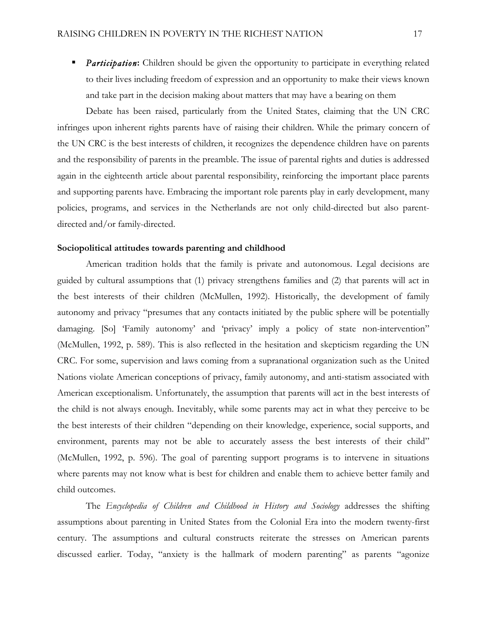**•** *Participation*: Children should be given the opportunity to participate in everything related to their lives including freedom of expression and an opportunity to make their views known and take part in the decision making about matters that may have a bearing on them

Debate has been raised, particularly from the United States, claiming that the UN CRC infringes upon inherent rights parents have of raising their children. While the primary concern of the UN CRC is the best interests of children, it recognizes the dependence children have on parents and the responsibility of parents in the preamble. The issue of parental rights and duties is addressed again in the eighteenth article about parental responsibility, reinforcing the important place parents and supporting parents have. Embracing the important role parents play in early development, many policies, programs, and services in the Netherlands are not only child-directed but also parentdirected and/or family-directed.

# **Sociopolitical attitudes towards parenting and childhood**

American tradition holds that the family is private and autonomous. Legal decisions are guided by cultural assumptions that (1) privacy strengthens families and (2) that parents will act in the best interests of their children (McMullen, 1992). Historically, the development of family autonomy and privacy "presumes that any contacts initiated by the public sphere will be potentially damaging. [So] 'Family autonomy' and 'privacy' imply a policy of state non-intervention" (McMullen, 1992, p. 589). This is also reflected in the hesitation and skepticism regarding the UN CRC. For some, supervision and laws coming from a supranational organization such as the United Nations violate American conceptions of privacy, family autonomy, and anti-statism associated with American exceptionalism. Unfortunately, the assumption that parents will act in the best interests of the child is not always enough. Inevitably, while some parents may act in what they perceive to be the best interests of their children "depending on their knowledge, experience, social supports, and environment, parents may not be able to accurately assess the best interests of their child" (McMullen, 1992, p. 596). The goal of parenting support programs is to intervene in situations where parents may not know what is best for children and enable them to achieve better family and child outcomes.

The *Encyclopedia of Children and Childhood in History and Sociology* addresses the shifting assumptions about parenting in United States from the Colonial Era into the modern twenty-first century. The assumptions and cultural constructs reiterate the stresses on American parents discussed earlier. Today, "anxiety is the hallmark of modern parenting" as parents "agonize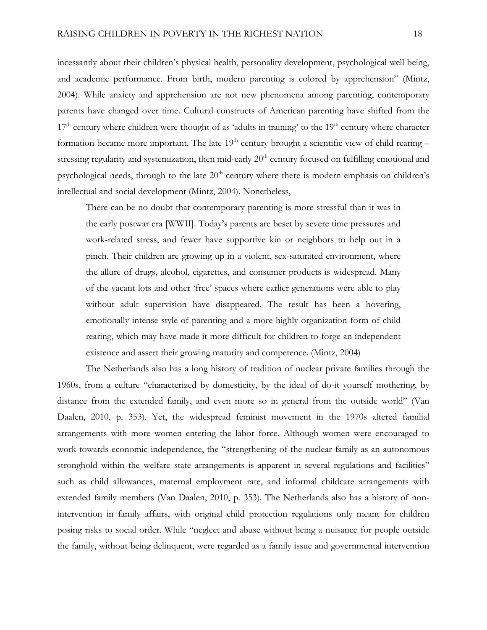incessantly about their children's physical health, personality development, psychological well being, and academic performance. From birth, modern parenting is colored by apprehension" (Mintz, 2004). While anxiety and apprehension are not new phenomena among parenting, contemporary parents have changed over time. Cultural constructs of American parenting have shifted from the  $17<sup>th</sup>$  century where children were thought of as 'adults in training' to the  $19<sup>th</sup>$  century where character formation became more important. The late  $19<sup>th</sup>$  century brought a scientific view of child rearing – stressing regularity and systemization, then mid-early 20<sup>th</sup> century focused on fulfilling emotional and psychological needs, through to the late  $20<sup>th</sup>$  century where there is modern emphasis on children's intellectual and social development (Mintz, 2004). Nonetheless,

There can be no doubt that contemporary parenting is more stressful than it was in the early postwar era [WWII]. Today's parents are beset by severe time pressures and work-related stress, and fewer have supportive kin or neighbors to help out in a pinch. Their children are growing up in a violent, sex-saturated environment, where the allure of drugs, alcohol, cigarettes, and consumer products is widespread. Many of the vacant lots and other 'free' spaces where earlier generations were able to play without adult supervision have disappeared. The result has been a hovering, emotionally intense style of parenting and a more highly organization form of child rearing, which may have made it more difficult for children to forge an independent existence and assert their growing maturity and competence. (Mintz, 2004)

The Netherlands also has a long history of tradition of nuclear private families through the 1960s, from a culture "characterized by domesticity, by the ideal of do-it yourself mothering, by distance from the extended family, and even more so in general from the outside world" (Van Daalen, 2010, p. 353). Yet, the widespread feminist movement in the 1970s altered familial arrangements with more women entering the labor force. Although women were encouraged to work towards economic independence, the "strengthening of the nuclear family as an autonomous stronghold within the welfare state arrangements is apparent in several regulations and facilities" such as child allowances, maternal employment rate, and informal childcare arrangements with extended family members (Van Daalen, 2010, p. 353). The Netherlands also has a history of nonintervention in family affairs, with original child protection regulations only meant for children posing risks to social order. While "neglect and abuse without being a nuisance for people outside the family, without being delinquent, were regarded as a family issue and governmental intervention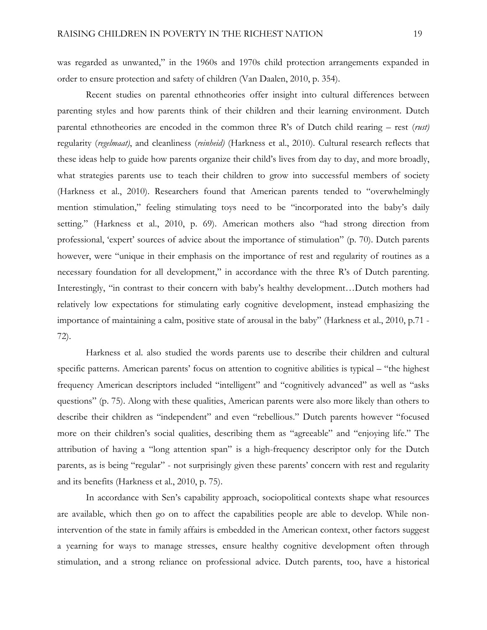was regarded as unwanted," in the 1960s and 1970s child protection arrangements expanded in order to ensure protection and safety of children (Van Daalen, 2010, p. 354).

Recent studies on parental ethnotheories offer insight into cultural differences between parenting styles and how parents think of their children and their learning environment. Dutch parental ethnotheories are encoded in the common three R's of Dutch child rearing – rest (*rust)* regularity (*regelmaat)*, and cleanliness (*reinheid)* (Harkness et al., 2010). Cultural research reflects that these ideas help to guide how parents organize their child's lives from day to day, and more broadly, what strategies parents use to teach their children to grow into successful members of society (Harkness et al., 2010). Researchers found that American parents tended to "overwhelmingly mention stimulation," feeling stimulating toys need to be "incorporated into the baby's daily setting." (Harkness et al., 2010, p. 69). American mothers also "had strong direction from professional, 'expert' sources of advice about the importance of stimulation" (p. 70). Dutch parents however, were "unique in their emphasis on the importance of rest and regularity of routines as a necessary foundation for all development," in accordance with the three R's of Dutch parenting. Interestingly, "in contrast to their concern with baby's healthy development…Dutch mothers had relatively low expectations for stimulating early cognitive development, instead emphasizing the importance of maintaining a calm, positive state of arousal in the baby" (Harkness et al., 2010, p.71 - 72).

Harkness et al. also studied the words parents use to describe their children and cultural specific patterns. American parents' focus on attention to cognitive abilities is typical – "the highest frequency American descriptors included "intelligent" and "cognitively advanced" as well as "asks questions" (p. 75). Along with these qualities, American parents were also more likely than others to describe their children as "independent" and even "rebellious." Dutch parents however "focused more on their children's social qualities, describing them as "agreeable" and "enjoying life." The attribution of having a "long attention span" is a high-frequency descriptor only for the Dutch parents, as is being "regular" - not surprisingly given these parents' concern with rest and regularity and its benefits (Harkness et al., 2010, p. 75).

In accordance with Sen's capability approach, sociopolitical contexts shape what resources are available, which then go on to affect the capabilities people are able to develop. While nonintervention of the state in family affairs is embedded in the American context, other factors suggest a yearning for ways to manage stresses, ensure healthy cognitive development often through stimulation, and a strong reliance on professional advice. Dutch parents, too, have a historical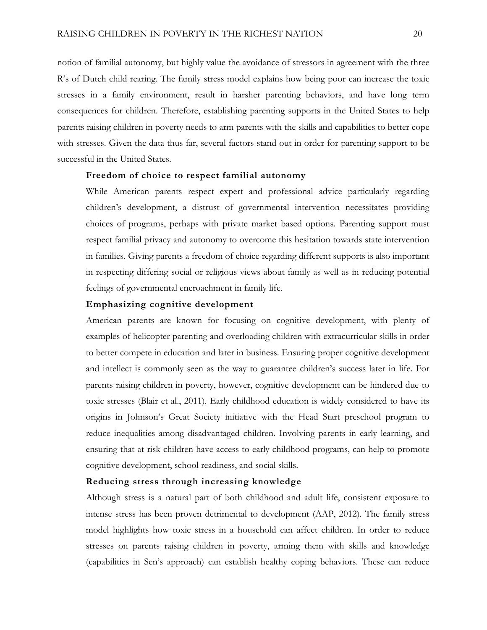notion of familial autonomy, but highly value the avoidance of stressors in agreement with the three R's of Dutch child rearing. The family stress model explains how being poor can increase the toxic stresses in a family environment, result in harsher parenting behaviors, and have long term consequences for children. Therefore, establishing parenting supports in the United States to help parents raising children in poverty needs to arm parents with the skills and capabilities to better cope with stresses. Given the data thus far, several factors stand out in order for parenting support to be successful in the United States.

# **Freedom of choice to respect familial autonomy**

While American parents respect expert and professional advice particularly regarding children's development, a distrust of governmental intervention necessitates providing choices of programs, perhaps with private market based options. Parenting support must respect familial privacy and autonomy to overcome this hesitation towards state intervention in families. Giving parents a freedom of choice regarding different supports is also important in respecting differing social or religious views about family as well as in reducing potential feelings of governmental encroachment in family life.

# **Emphasizing cognitive development**

American parents are known for focusing on cognitive development, with plenty of examples of helicopter parenting and overloading children with extracurricular skills in order to better compete in education and later in business. Ensuring proper cognitive development and intellect is commonly seen as the way to guarantee children's success later in life. For parents raising children in poverty, however, cognitive development can be hindered due to toxic stresses (Blair et al., 2011). Early childhood education is widely considered to have its origins in Johnson's Great Society initiative with the Head Start preschool program to reduce inequalities among disadvantaged children. Involving parents in early learning, and ensuring that at-risk children have access to early childhood programs, can help to promote cognitive development, school readiness, and social skills.

# **Reducing stress through increasing knowledge**

Although stress is a natural part of both childhood and adult life, consistent exposure to intense stress has been proven detrimental to development (AAP, 2012). The family stress model highlights how toxic stress in a household can affect children. In order to reduce stresses on parents raising children in poverty, arming them with skills and knowledge (capabilities in Sen's approach) can establish healthy coping behaviors. These can reduce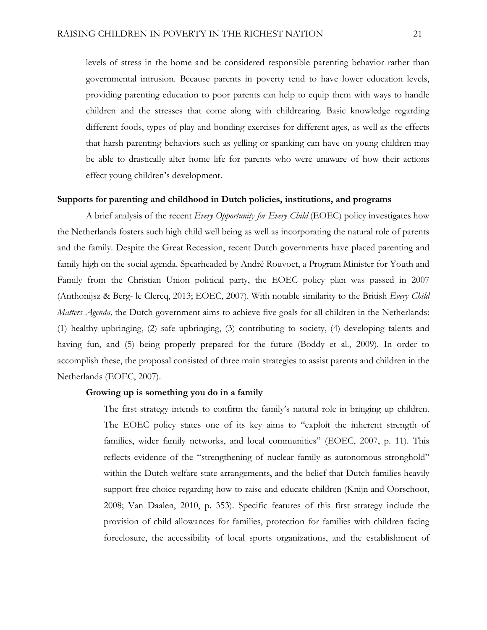levels of stress in the home and be considered responsible parenting behavior rather than governmental intrusion. Because parents in poverty tend to have lower education levels, providing parenting education to poor parents can help to equip them with ways to handle children and the stresses that come along with childrearing. Basic knowledge regarding different foods, types of play and bonding exercises for different ages, as well as the effects that harsh parenting behaviors such as yelling or spanking can have on young children may be able to drastically alter home life for parents who were unaware of how their actions effect young children's development.

# **Supports for parenting and childhood in Dutch policies, institutions, and programs**

A brief analysis of the recent *Every Opportunity for Every Child* (EOEC) policy investigates how the Netherlands fosters such high child well being as well as incorporating the natural role of parents and the family. Despite the Great Recession, recent Dutch governments have placed parenting and family high on the social agenda. Spearheaded by André Rouvoet, a Program Minister for Youth and Family from the Christian Union political party, the EOEC policy plan was passed in 2007 (Anthonijsz & Berg- le Clercq, 2013; EOEC, 2007). With notable similarity to the British *Every Child Matters Agenda,* the Dutch government aims to achieve five goals for all children in the Netherlands: (1) healthy upbringing, (2) safe upbringing, (3) contributing to society, (4) developing talents and having fun, and (5) being properly prepared for the future (Boddy et al., 2009). In order to accomplish these, the proposal consisted of three main strategies to assist parents and children in the Netherlands (EOEC, 2007).

# **Growing up is something you do in a family**

The first strategy intends to confirm the family's natural role in bringing up children. The EOEC policy states one of its key aims to "exploit the inherent strength of families, wider family networks, and local communities" (EOEC, 2007, p. 11). This reflects evidence of the "strengthening of nuclear family as autonomous stronghold" within the Dutch welfare state arrangements, and the belief that Dutch families heavily support free choice regarding how to raise and educate children (Knijn and Oorschoot, 2008; Van Daalen, 2010, p. 353). Specific features of this first strategy include the provision of child allowances for families, protection for families with children facing foreclosure, the accessibility of local sports organizations, and the establishment of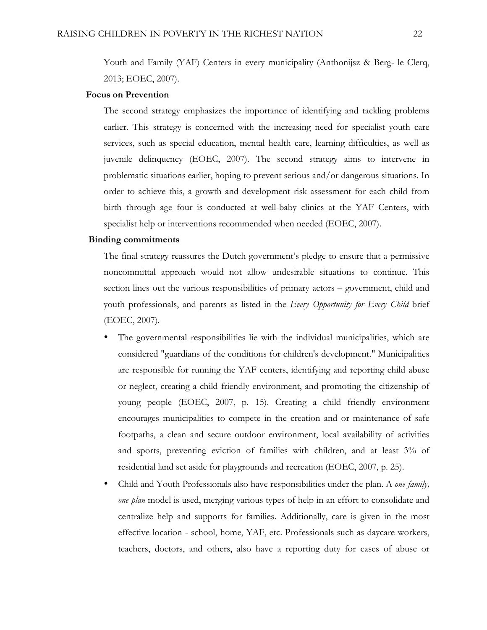Youth and Family (YAF) Centers in every municipality (Anthonijsz & Berg- le Clerq, 2013; EOEC, 2007).

## **Focus on Prevention**

The second strategy emphasizes the importance of identifying and tackling problems earlier. This strategy is concerned with the increasing need for specialist youth care services, such as special education, mental health care, learning difficulties, as well as juvenile delinquency (EOEC, 2007). The second strategy aims to intervene in problematic situations earlier, hoping to prevent serious and/or dangerous situations. In order to achieve this, a growth and development risk assessment for each child from birth through age four is conducted at well-baby clinics at the YAF Centers, with specialist help or interventions recommended when needed (EOEC, 2007).

## **Binding commitments**

The final strategy reassures the Dutch government's pledge to ensure that a permissive noncommittal approach would not allow undesirable situations to continue. This section lines out the various responsibilities of primary actors – government, child and youth professionals, and parents as listed in the *Every Opportunity for Every Child* brief (EOEC, 2007).

- The governmental responsibilities lie with the individual municipalities, which are considered "guardians of the conditions for children's development." Municipalities are responsible for running the YAF centers, identifying and reporting child abuse or neglect, creating a child friendly environment, and promoting the citizenship of young people (EOEC, 2007, p. 15). Creating a child friendly environment encourages municipalities to compete in the creation and or maintenance of safe footpaths, a clean and secure outdoor environment, local availability of activities and sports, preventing eviction of families with children, and at least 3% of residential land set aside for playgrounds and recreation (EOEC, 2007, p. 25).
- Child and Youth Professionals also have responsibilities under the plan. A *one family, one plan* model is used, merging various types of help in an effort to consolidate and centralize help and supports for families. Additionally, care is given in the most effective location - school, home, YAF, etc. Professionals such as daycare workers, teachers, doctors, and others, also have a reporting duty for cases of abuse or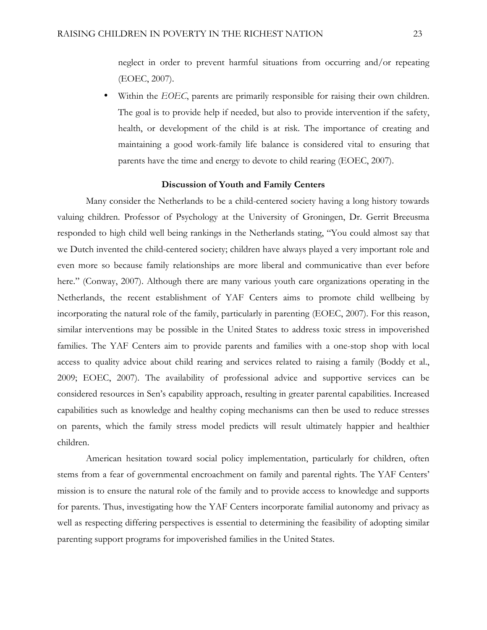neglect in order to prevent harmful situations from occurring and/or repeating (EOEC, 2007).

Within the *EOEC*, parents are primarily responsible for raising their own children. The goal is to provide help if needed, but also to provide intervention if the safety, health, or development of the child is at risk. The importance of creating and maintaining a good work-family life balance is considered vital to ensuring that parents have the time and energy to devote to child rearing (EOEC, 2007).

## **Discussion of Youth and Family Centers**

Many consider the Netherlands to be a child-centered society having a long history towards valuing children. Professor of Psychology at the University of Groningen, Dr. Gerrit Breeusma responded to high child well being rankings in the Netherlands stating, "You could almost say that we Dutch invented the child-centered society; children have always played a very important role and even more so because family relationships are more liberal and communicative than ever before here." (Conway, 2007). Although there are many various youth care organizations operating in the Netherlands, the recent establishment of YAF Centers aims to promote child wellbeing by incorporating the natural role of the family, particularly in parenting (EOEC, 2007). For this reason, similar interventions may be possible in the United States to address toxic stress in impoverished families. The YAF Centers aim to provide parents and families with a one-stop shop with local access to quality advice about child rearing and services related to raising a family (Boddy et al., 2009; EOEC, 2007). The availability of professional advice and supportive services can be considered resources in Sen's capability approach, resulting in greater parental capabilities. Increased capabilities such as knowledge and healthy coping mechanisms can then be used to reduce stresses on parents, which the family stress model predicts will result ultimately happier and healthier children.

American hesitation toward social policy implementation, particularly for children, often stems from a fear of governmental encroachment on family and parental rights. The YAF Centers' mission is to ensure the natural role of the family and to provide access to knowledge and supports for parents. Thus, investigating how the YAF Centers incorporate familial autonomy and privacy as well as respecting differing perspectives is essential to determining the feasibility of adopting similar parenting support programs for impoverished families in the United States.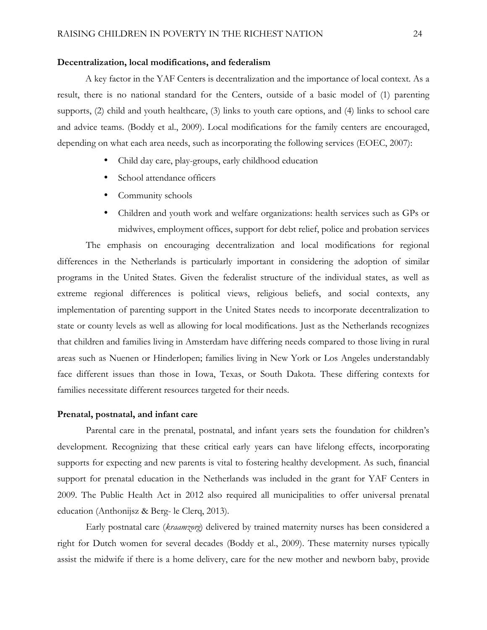#### **Decentralization, local modifications, and federalism**

A key factor in the YAF Centers is decentralization and the importance of local context. As a result, there is no national standard for the Centers, outside of a basic model of (1) parenting supports, (2) child and youth healthcare, (3) links to youth care options, and (4) links to school care and advice teams. (Boddy et al., 2009). Local modifications for the family centers are encouraged, depending on what each area needs, such as incorporating the following services (EOEC, 2007):

- Child day care, play-groups, early childhood education
- School attendance officers
- Community schools
- Children and youth work and welfare organizations: health services such as GPs or midwives, employment offices, support for debt relief, police and probation services

The emphasis on encouraging decentralization and local modifications for regional differences in the Netherlands is particularly important in considering the adoption of similar programs in the United States. Given the federalist structure of the individual states, as well as extreme regional differences is political views, religious beliefs, and social contexts, any implementation of parenting support in the United States needs to incorporate decentralization to state or county levels as well as allowing for local modifications. Just as the Netherlands recognizes that children and families living in Amsterdam have differing needs compared to those living in rural areas such as Nuenen or Hinderlopen; families living in New York or Los Angeles understandably face different issues than those in Iowa, Texas, or South Dakota. These differing contexts for families necessitate different resources targeted for their needs.

## **Prenatal, postnatal, and infant care**

Parental care in the prenatal, postnatal, and infant years sets the foundation for children's development. Recognizing that these critical early years can have lifelong effects, incorporating supports for expecting and new parents is vital to fostering healthy development. As such, financial support for prenatal education in the Netherlands was included in the grant for YAF Centers in 2009. The Public Health Act in 2012 also required all municipalities to offer universal prenatal education (Anthonijsz & Berg- le Clerq, 2013).

Early postnatal care (*kraamzorg*) delivered by trained maternity nurses has been considered a right for Dutch women for several decades (Boddy et al., 2009). These maternity nurses typically assist the midwife if there is a home delivery, care for the new mother and newborn baby, provide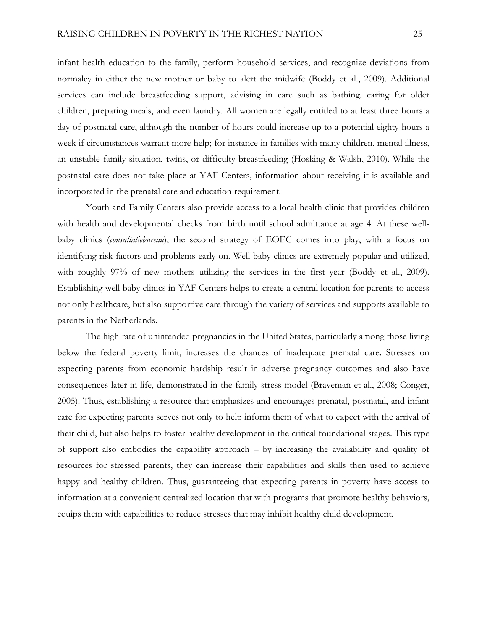infant health education to the family, perform household services, and recognize deviations from normalcy in either the new mother or baby to alert the midwife (Boddy et al., 2009). Additional services can include breastfeeding support, advising in care such as bathing, caring for older children, preparing meals, and even laundry. All women are legally entitled to at least three hours a day of postnatal care, although the number of hours could increase up to a potential eighty hours a week if circumstances warrant more help; for instance in families with many children, mental illness, an unstable family situation, twins, or difficulty breastfeeding (Hosking & Walsh, 2010). While the postnatal care does not take place at YAF Centers, information about receiving it is available and incorporated in the prenatal care and education requirement.

Youth and Family Centers also provide access to a local health clinic that provides children with health and developmental checks from birth until school admittance at age 4. At these wellbaby clinics (*consultatiebureau*), the second strategy of EOEC comes into play, with a focus on identifying risk factors and problems early on. Well baby clinics are extremely popular and utilized, with roughly 97% of new mothers utilizing the services in the first year (Boddy et al., 2009). Establishing well baby clinics in YAF Centers helps to create a central location for parents to access not only healthcare, but also supportive care through the variety of services and supports available to parents in the Netherlands.

The high rate of unintended pregnancies in the United States, particularly among those living below the federal poverty limit, increases the chances of inadequate prenatal care. Stresses on expecting parents from economic hardship result in adverse pregnancy outcomes and also have consequences later in life, demonstrated in the family stress model (Braveman et al., 2008; Conger, 2005). Thus, establishing a resource that emphasizes and encourages prenatal, postnatal, and infant care for expecting parents serves not only to help inform them of what to expect with the arrival of their child, but also helps to foster healthy development in the critical foundational stages. This type of support also embodies the capability approach – by increasing the availability and quality of resources for stressed parents, they can increase their capabilities and skills then used to achieve happy and healthy children. Thus, guaranteeing that expecting parents in poverty have access to information at a convenient centralized location that with programs that promote healthy behaviors, equips them with capabilities to reduce stresses that may inhibit healthy child development.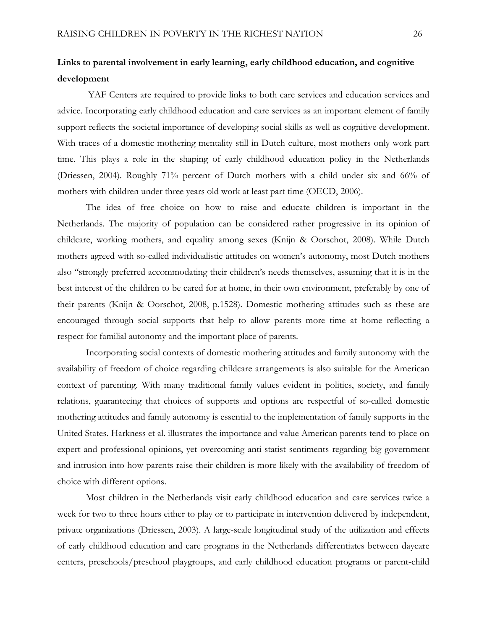# **Links to parental involvement in early learning, early childhood education, and cognitive development**

YAF Centers are required to provide links to both care services and education services and advice. Incorporating early childhood education and care services as an important element of family support reflects the societal importance of developing social skills as well as cognitive development. With traces of a domestic mothering mentality still in Dutch culture, most mothers only work part time. This plays a role in the shaping of early childhood education policy in the Netherlands (Driessen, 2004). Roughly 71% percent of Dutch mothers with a child under six and 66% of mothers with children under three years old work at least part time (OECD, 2006).

The idea of free choice on how to raise and educate children is important in the Netherlands. The majority of population can be considered rather progressive in its opinion of childcare, working mothers, and equality among sexes (Knijn & Oorschot, 2008). While Dutch mothers agreed with so-called individualistic attitudes on women's autonomy, most Dutch mothers also "strongly preferred accommodating their children's needs themselves, assuming that it is in the best interest of the children to be cared for at home, in their own environment, preferably by one of their parents (Knijn & Oorschot, 2008, p.1528). Domestic mothering attitudes such as these are encouraged through social supports that help to allow parents more time at home reflecting a respect for familial autonomy and the important place of parents.

Incorporating social contexts of domestic mothering attitudes and family autonomy with the availability of freedom of choice regarding childcare arrangements is also suitable for the American context of parenting. With many traditional family values evident in politics, society, and family relations, guaranteeing that choices of supports and options are respectful of so-called domestic mothering attitudes and family autonomy is essential to the implementation of family supports in the United States. Harkness et al. illustrates the importance and value American parents tend to place on expert and professional opinions, yet overcoming anti-statist sentiments regarding big government and intrusion into how parents raise their children is more likely with the availability of freedom of choice with different options.

Most children in the Netherlands visit early childhood education and care services twice a week for two to three hours either to play or to participate in intervention delivered by independent, private organizations (Driessen, 2003). A large-scale longitudinal study of the utilization and effects of early childhood education and care programs in the Netherlands differentiates between daycare centers, preschools/preschool playgroups, and early childhood education programs or parent-child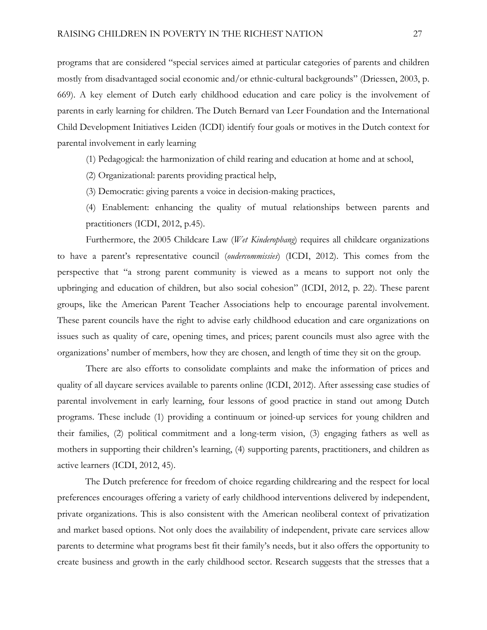programs that are considered "special services aimed at particular categories of parents and children mostly from disadvantaged social economic and/or ethnic-cultural backgrounds" (Driessen, 2003, p. 669). A key element of Dutch early childhood education and care policy is the involvement of parents in early learning for children. The Dutch Bernard van Leer Foundation and the International Child Development Initiatives Leiden (ICDI) identify four goals or motives in the Dutch context for parental involvement in early learning

- (1) Pedagogical: the harmonization of child rearing and education at home and at school,
- (2) Organizational: parents providing practical help,
- (3) Democratic: giving parents a voice in decision-making practices,
- (4) Enablement: enhancing the quality of mutual relationships between parents and practitioners (ICDI, 2012, p.45).

Furthermore, the 2005 Childcare Law (*Wet Kinderopbang*) requires all childcare organizations to have a parent's representative council (*oudercommissies*) (ICDI, 2012). This comes from the perspective that "a strong parent community is viewed as a means to support not only the upbringing and education of children, but also social cohesion" (ICDI, 2012, p. 22). These parent groups, like the American Parent Teacher Associations help to encourage parental involvement. These parent councils have the right to advise early childhood education and care organizations on issues such as quality of care, opening times, and prices; parent councils must also agree with the organizations' number of members, how they are chosen, and length of time they sit on the group.

There are also efforts to consolidate complaints and make the information of prices and quality of all daycare services available to parents online (ICDI, 2012). After assessing case studies of parental involvement in early learning, four lessons of good practice in stand out among Dutch programs. These include (1) providing a continuum or joined-up services for young children and their families, (2) political commitment and a long-term vision, (3) engaging fathers as well as mothers in supporting their children's learning, (4) supporting parents, practitioners, and children as active learners (ICDI, 2012, 45).

The Dutch preference for freedom of choice regarding childrearing and the respect for local preferences encourages offering a variety of early childhood interventions delivered by independent, private organizations. This is also consistent with the American neoliberal context of privatization and market based options. Not only does the availability of independent, private care services allow parents to determine what programs best fit their family's needs, but it also offers the opportunity to create business and growth in the early childhood sector. Research suggests that the stresses that a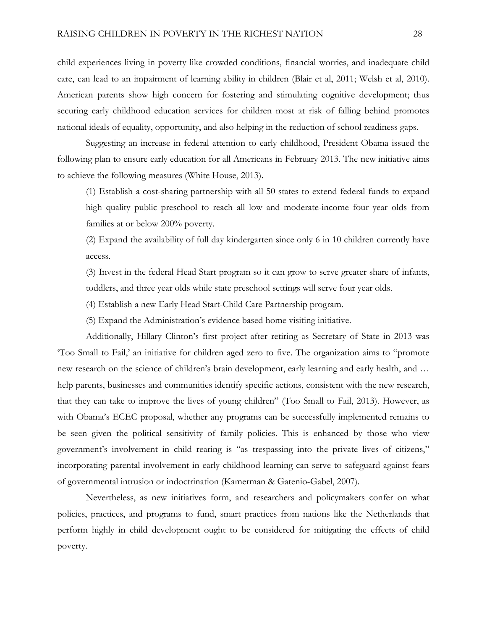child experiences living in poverty like crowded conditions, financial worries, and inadequate child care, can lead to an impairment of learning ability in children (Blair et al, 2011; Welsh et al, 2010). American parents show high concern for fostering and stimulating cognitive development; thus securing early childhood education services for children most at risk of falling behind promotes national ideals of equality, opportunity, and also helping in the reduction of school readiness gaps.

Suggesting an increase in federal attention to early childhood, President Obama issued the following plan to ensure early education for all Americans in February 2013. The new initiative aims to achieve the following measures (White House, 2013).

(1) Establish a cost-sharing partnership with all 50 states to extend federal funds to expand high quality public preschool to reach all low and moderate-income four year olds from families at or below 200% poverty.

(2) Expand the availability of full day kindergarten since only 6 in 10 children currently have access.

(3) Invest in the federal Head Start program so it can grow to serve greater share of infants, toddlers, and three year olds while state preschool settings will serve four year olds.

(4) Establish a new Early Head Start-Child Care Partnership program.

(5) Expand the Administration's evidence based home visiting initiative.

Additionally, Hillary Clinton's first project after retiring as Secretary of State in 2013 was 'Too Small to Fail,' an initiative for children aged zero to five. The organization aims to "promote new research on the science of children's brain development, early learning and early health, and … help parents, businesses and communities identify specific actions, consistent with the new research, that they can take to improve the lives of young children" (Too Small to Fail, 2013). However, as with Obama's ECEC proposal, whether any programs can be successfully implemented remains to be seen given the political sensitivity of family policies. This is enhanced by those who view government's involvement in child rearing is "as trespassing into the private lives of citizens," incorporating parental involvement in early childhood learning can serve to safeguard against fears of governmental intrusion or indoctrination (Kamerman & Gatenio-Gabel, 2007).

Nevertheless, as new initiatives form, and researchers and policymakers confer on what policies, practices, and programs to fund, smart practices from nations like the Netherlands that perform highly in child development ought to be considered for mitigating the effects of child poverty.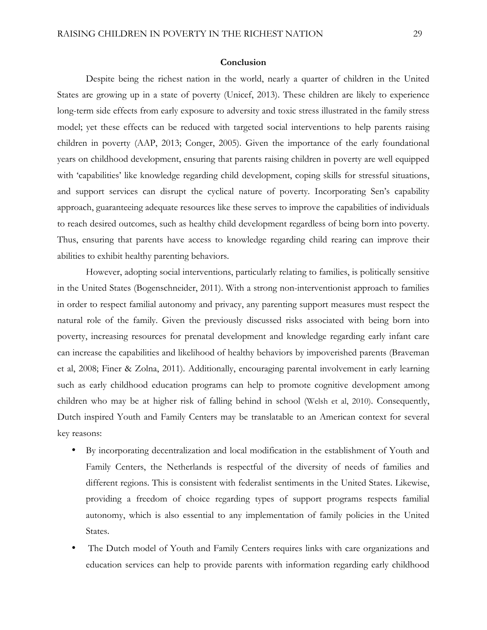## **Conclusion**

Despite being the richest nation in the world, nearly a quarter of children in the United States are growing up in a state of poverty (Unicef, 2013). These children are likely to experience long-term side effects from early exposure to adversity and toxic stress illustrated in the family stress model; yet these effects can be reduced with targeted social interventions to help parents raising children in poverty (AAP, 2013; Conger, 2005). Given the importance of the early foundational years on childhood development, ensuring that parents raising children in poverty are well equipped with 'capabilities' like knowledge regarding child development, coping skills for stressful situations, and support services can disrupt the cyclical nature of poverty. Incorporating Sen's capability approach, guaranteeing adequate resources like these serves to improve the capabilities of individuals to reach desired outcomes, such as healthy child development regardless of being born into poverty. Thus, ensuring that parents have access to knowledge regarding child rearing can improve their abilities to exhibit healthy parenting behaviors.

However, adopting social interventions, particularly relating to families, is politically sensitive in the United States (Bogenschneider, 2011). With a strong non-interventionist approach to families in order to respect familial autonomy and privacy, any parenting support measures must respect the natural role of the family. Given the previously discussed risks associated with being born into poverty, increasing resources for prenatal development and knowledge regarding early infant care can increase the capabilities and likelihood of healthy behaviors by impoverished parents (Braveman et al, 2008; Finer & Zolna, 2011). Additionally, encouraging parental involvement in early learning such as early childhood education programs can help to promote cognitive development among children who may be at higher risk of falling behind in school (Welsh et al, 2010). Consequently, Dutch inspired Youth and Family Centers may be translatable to an American context for several key reasons:

- By incorporating decentralization and local modification in the establishment of Youth and Family Centers, the Netherlands is respectful of the diversity of needs of families and different regions. This is consistent with federalist sentiments in the United States. Likewise, providing a freedom of choice regarding types of support programs respects familial autonomy, which is also essential to any implementation of family policies in the United States.
- The Dutch model of Youth and Family Centers requires links with care organizations and education services can help to provide parents with information regarding early childhood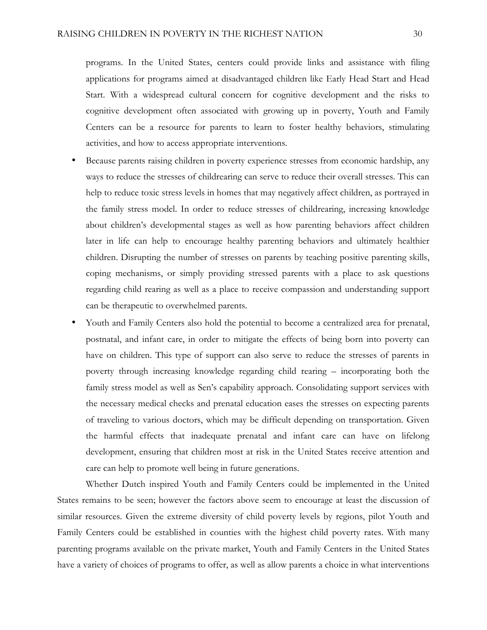programs. In the United States, centers could provide links and assistance with filing applications for programs aimed at disadvantaged children like Early Head Start and Head Start. With a widespread cultural concern for cognitive development and the risks to cognitive development often associated with growing up in poverty, Youth and Family Centers can be a resource for parents to learn to foster healthy behaviors, stimulating activities, and how to access appropriate interventions.

- Because parents raising children in poverty experience stresses from economic hardship, any ways to reduce the stresses of childrearing can serve to reduce their overall stresses. This can help to reduce toxic stress levels in homes that may negatively affect children, as portrayed in the family stress model. In order to reduce stresses of childrearing, increasing knowledge about children's developmental stages as well as how parenting behaviors affect children later in life can help to encourage healthy parenting behaviors and ultimately healthier children. Disrupting the number of stresses on parents by teaching positive parenting skills, coping mechanisms, or simply providing stressed parents with a place to ask questions regarding child rearing as well as a place to receive compassion and understanding support can be therapeutic to overwhelmed parents.
- Youth and Family Centers also hold the potential to become a centralized area for prenatal, postnatal, and infant care, in order to mitigate the effects of being born into poverty can have on children. This type of support can also serve to reduce the stresses of parents in poverty through increasing knowledge regarding child rearing – incorporating both the family stress model as well as Sen's capability approach. Consolidating support services with the necessary medical checks and prenatal education eases the stresses on expecting parents of traveling to various doctors, which may be difficult depending on transportation. Given the harmful effects that inadequate prenatal and infant care can have on lifelong development, ensuring that children most at risk in the United States receive attention and care can help to promote well being in future generations.

Whether Dutch inspired Youth and Family Centers could be implemented in the United States remains to be seen; however the factors above seem to encourage at least the discussion of similar resources. Given the extreme diversity of child poverty levels by regions, pilot Youth and Family Centers could be established in counties with the highest child poverty rates. With many parenting programs available on the private market, Youth and Family Centers in the United States have a variety of choices of programs to offer, as well as allow parents a choice in what interventions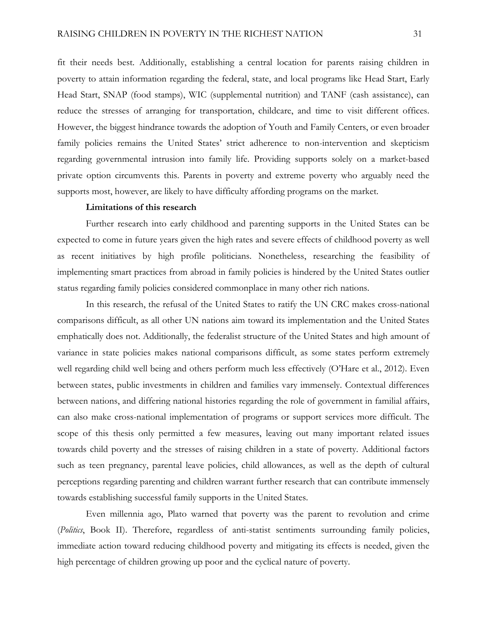fit their needs best. Additionally, establishing a central location for parents raising children in poverty to attain information regarding the federal, state, and local programs like Head Start, Early Head Start, SNAP (food stamps), WIC (supplemental nutrition) and TANF (cash assistance), can reduce the stresses of arranging for transportation, childcare, and time to visit different offices. However, the biggest hindrance towards the adoption of Youth and Family Centers, or even broader family policies remains the United States' strict adherence to non-intervention and skepticism regarding governmental intrusion into family life. Providing supports solely on a market-based private option circumvents this. Parents in poverty and extreme poverty who arguably need the supports most, however, are likely to have difficulty affording programs on the market.

## **Limitations of this research**

Further research into early childhood and parenting supports in the United States can be expected to come in future years given the high rates and severe effects of childhood poverty as well as recent initiatives by high profile politicians. Nonetheless, researching the feasibility of implementing smart practices from abroad in family policies is hindered by the United States outlier status regarding family policies considered commonplace in many other rich nations.

In this research, the refusal of the United States to ratify the UN CRC makes cross-national comparisons difficult, as all other UN nations aim toward its implementation and the United States emphatically does not. Additionally, the federalist structure of the United States and high amount of variance in state policies makes national comparisons difficult, as some states perform extremely well regarding child well being and others perform much less effectively (O'Hare et al., 2012). Even between states, public investments in children and families vary immensely. Contextual differences between nations, and differing national histories regarding the role of government in familial affairs, can also make cross-national implementation of programs or support services more difficult. The scope of this thesis only permitted a few measures, leaving out many important related issues towards child poverty and the stresses of raising children in a state of poverty. Additional factors such as teen pregnancy, parental leave policies, child allowances, as well as the depth of cultural perceptions regarding parenting and children warrant further research that can contribute immensely towards establishing successful family supports in the United States.

Even millennia ago, Plato warned that poverty was the parent to revolution and crime (*Politics*, Book II). Therefore, regardless of anti-statist sentiments surrounding family policies, immediate action toward reducing childhood poverty and mitigating its effects is needed, given the high percentage of children growing up poor and the cyclical nature of poverty.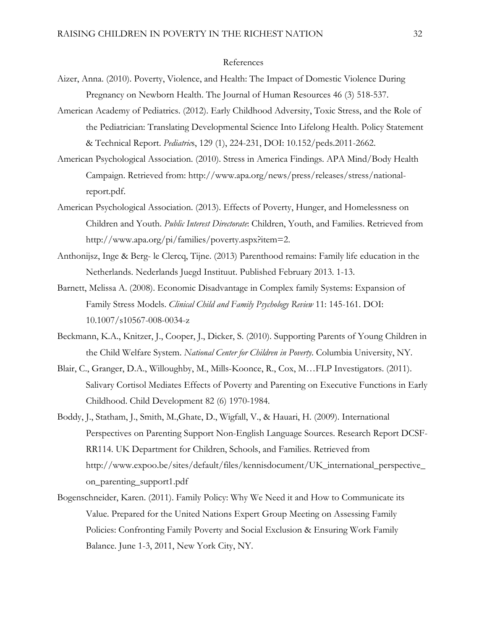# References

- Aizer, Anna. (2010). Poverty, Violence, and Health: The Impact of Domestic Violence During Pregnancy on Newborn Health. The Journal of Human Resources 46 (3) 518-537.
- American Academy of Pediatrics. (2012). Early Childhood Adversity, Toxic Stress, and the Role of the Pediatrician: Translating Developmental Science Into Lifelong Health. Policy Statement & Technical Report. *Pediatric*s, 129 (1), 224-231, DOI: 10.152/peds.2011-2662.
- American Psychological Association. (2010). Stress in America Findings. APA Mind/Body Health Campaign. Retrieved from: http://www.apa.org/news/press/releases/stress/nationalreport.pdf.
- American Psychological Association. (2013). Effects of Poverty, Hunger, and Homelessness on Children and Youth. *Public Interest Directorate*: Children, Youth, and Families. Retrieved from http://www.apa.org/pi/families/poverty.aspx?item=2.
- Anthonijsz, Inge & Berg- le Clercq, Tijne. (2013) Parenthood remains: Family life education in the Netherlands. Nederlands Juegd Instituut. Published February 2013. 1-13.
- Barnett, Melissa A. (2008). Economic Disadvantage in Complex family Systems: Expansion of Family Stress Models. *Clinical Child and Family Psychology Review* 11: 145-161. DOI: 10.1007/s10567-008-0034-z
- Beckmann, K.A., Knitzer, J., Cooper, J., Dicker, S. (2010). Supporting Parents of Young Children in the Child Welfare System. *National Center for Children in Poverty*. Columbia University, NY.
- Blair, C., Granger, D.A., Willoughby, M., Mills-Koonce, R., Cox, M…FLP Investigators. (2011). Salivary Cortisol Mediates Effects of Poverty and Parenting on Executive Functions in Early Childhood. Child Development 82 (6) 1970-1984.
- Boddy, J., Statham, J., Smith, M.,Ghate, D., Wigfall, V., & Hauari, H. (2009). International Perspectives on Parenting Support Non-English Language Sources. Research Report DCSF-RR114. UK Department for Children, Schools, and Families. Retrieved from http://www.expoo.be/sites/default/files/kennisdocument/UK\_international\_perspective\_ on\_parenting\_support1.pdf
- Bogenschneider, Karen. (2011). Family Policy: Why We Need it and How to Communicate its Value. Prepared for the United Nations Expert Group Meeting on Assessing Family Policies: Confronting Family Poverty and Social Exclusion & Ensuring Work Family Balance. June 1-3, 2011, New York City, NY.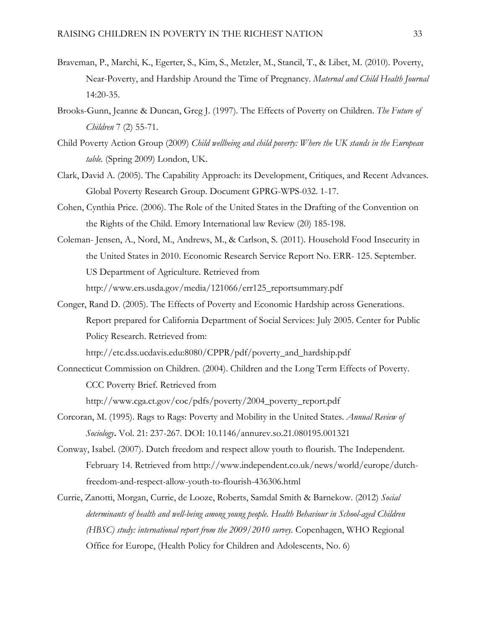- Braveman, P., Marchi, K., Egerter, S., Kim, S., Metzler, M., Stancil, T., & Libet, M. (2010). Poverty, Near-Poverty, and Hardship Around the Time of Pregnancy. *Maternal and Child Health Journal* 14:20-35.
- Brooks-Gunn, Jeanne & Duncan, Greg J. (1997). The Effects of Poverty on Children. *The Future of Children* 7 (2) 55-71.
- Child Poverty Action Group (2009) *Child wellbeing and child poverty: Where the UK stands in the European table.* (Spring 2009) London, UK.
- Clark, David A. (2005). The Capability Approach: its Development, Critiques, and Recent Advances. Global Poverty Research Group. Document GPRG-WPS-032. 1-17.
- Cohen, Cynthia Price. (2006). The Role of the United States in the Drafting of the Convention on the Rights of the Child. Emory International law Review (20) 185-198.
- Coleman- Jensen, A., Nord, M., Andrews, M., & Carlson, S. (2011). Household Food Insecurity in the United States in 2010. Economic Research Service Report No. ERR- 125. September. US Department of Agriculture. Retrieved from http://www.ers.usda.gov/media/121066/err125\_reportsummary.pdf
- Conger, Rand D. (2005). The Effects of Poverty and Economic Hardship across Generations. Report prepared for California Department of Social Services: July 2005. Center for Public Policy Research. Retrieved from:

http://etc.dss.ucdavis.edu:8080/CPPR/pdf/poverty\_and\_hardship.pdf

- Connecticut Commission on Children. (2004). Children and the Long Term Effects of Poverty. CCC Poverty Brief. Retrieved from http://www.cga.ct.gov/coc/pdfs/poverty/2004\_poverty\_report.pdf
- Corcoran, M. (1995). Rags to Rags: Poverty and Mobility in the United States. *Annual Review of Sociology***.** Vol. 21: 237-267. DOI: 10.1146/annurev.so.21.080195.001321
- Conway, Isabel. (2007). Dutch freedom and respect allow youth to flourish. The Independent. February 14. Retrieved from http://www.independent.co.uk/news/world/europe/dutchfreedom-and-respect-allow-youth-to-flourish-436306.html
- Currie, Zanotti, Morgan, Currie, de Looze, Roberts, Samdal Smith & Barnekow. (2012) *Social determinants of health and well-being among young people. Health Behaviour in School-aged Children (HBSC) study: international report from the 2009/2010 survey.* Copenhagen, WHO Regional Office for Europe, (Health Policy for Children and Adolescents, No. 6)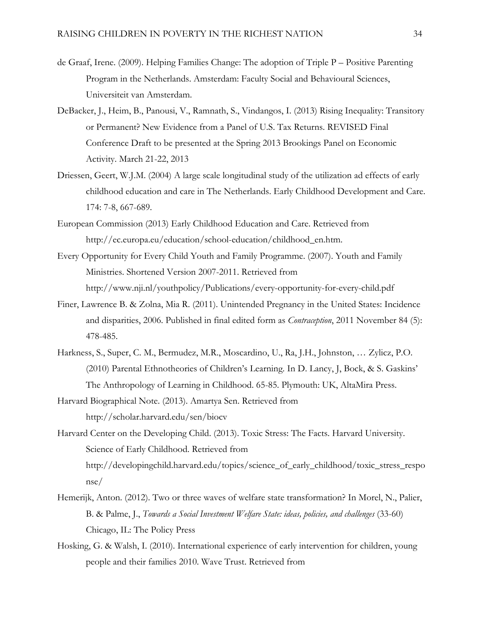- de Graaf, Irene. (2009). Helping Families Change: The adoption of Triple P Positive Parenting Program in the Netherlands. Amsterdam: Faculty Social and Behavioural Sciences, Universiteit van Amsterdam.
- DeBacker, J., Heim, B., Panousi, V., Ramnath, S., Vindangos, I. (2013) Rising Inequality: Transitory or Permanent? New Evidence from a Panel of U.S. Tax Returns. REVISED Final Conference Draft to be presented at the Spring 2013 Brookings Panel on Economic Activity. March 21-22, 2013
- Driessen, Geert, W.J.M. (2004) A large scale longitudinal study of the utilization ad effects of early childhood education and care in The Netherlands. Early Childhood Development and Care. 174: 7-8, 667-689.
- European Commission (2013) Early Childhood Education and Care. Retrieved from http://ec.europa.eu/education/school-education/childhood\_en.htm.
- Every Opportunity for Every Child Youth and Family Programme. (2007). Youth and Family Ministries. Shortened Version 2007-2011. Retrieved from http://www.nji.nl/youthpolicy/Publications/every-opportunity-for-every-child.pdf
- Finer, Lawrence B. & Zolna, Mia R. (2011). Unintended Pregnancy in the United States: Incidence and disparities, 2006. Published in final edited form as *Contraception*, 2011 November 84 (5): 478-485.
- Harkness, S., Super, C. M., Bermudez, M.R., Moscardino, U., Ra, J.H., Johnston, … Zylicz, P.O. (2010) Parental Ethnotheories of Children's Learning. In D. Lancy, J, Bock, & S. Gaskins' The Anthropology of Learning in Childhood. 65-85. Plymouth: UK, AltaMira Press.
- Harvard Biographical Note. (2013). Amartya Sen. Retrieved from http://scholar.harvard.edu/sen/biocv
- Harvard Center on the Developing Child. (2013). Toxic Stress: The Facts. Harvard University. Science of Early Childhood. Retrieved from http://developingchild.harvard.edu/topics/science\_of\_early\_childhood/toxic\_stress\_respo nse/
- Hemerijk, Anton. (2012). Two or three waves of welfare state transformation? In Morel, N., Palier, B. & Palme, J., *Towards a Social Investment Welfare State: ideas, policies, and challenges* (33-60) Chicago, IL: The Policy Press
- Hosking, G. & Walsh, I. (2010). International experience of early intervention for children, young people and their families 2010. Wave Trust. Retrieved from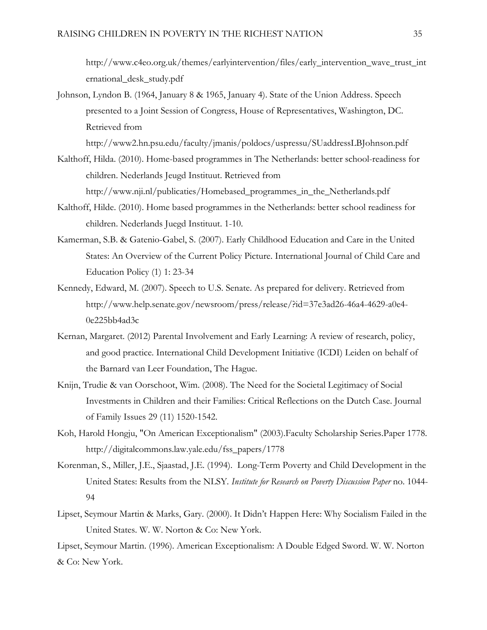http://www.c4eo.org.uk/themes/earlyintervention/files/early\_intervention\_wave\_trust\_int ernational\_desk\_study.pdf

Johnson, Lyndon B. (1964, January 8 & 1965, January 4). State of the Union Address. Speech presented to a Joint Session of Congress, House of Representatives, Washington, DC. Retrieved from

http://www2.hn.psu.edu/faculty/jmanis/poldocs/uspressu/SUaddressLBJohnson.pdf

- Kalthoff, Hilda. (2010). Home-based programmes in The Netherlands: better school-readiness for children. Nederlands Jeugd Instituut. Retrieved from http://www.nji.nl/publicaties/Homebased\_programmes\_in\_the\_Netherlands.pdf
- Kalthoff, Hilde. (2010). Home based programmes in the Netherlands: better school readiness for children. Nederlands Juegd Instituut. 1-10.
- Kamerman, S.B. & Gatenio-Gabel, S. (2007). Early Childhood Education and Care in the United States: An Overview of the Current Policy Picture. International Journal of Child Care and Education Policy (1) 1: 23-34
- Kennedy, Edward, M. (2007). Speech to U.S. Senate. As prepared for delivery. Retrieved from http://www.help.senate.gov/newsroom/press/release/?id=37e3ad26-46a4-4629-a0e4- 0e225bb4ad3c
- Kernan, Margaret. (2012) Parental Involvement and Early Learning: A review of research, policy, and good practice. International Child Development Initiative (ICDI) Leiden on behalf of the Barnard van Leer Foundation, The Hague.
- Knijn, Trudie & van Oorschoot, Wim. (2008). The Need for the Societal Legitimacy of Social Investments in Children and their Families: Critical Reflections on the Dutch Case. Journal of Family Issues 29 (11) 1520-1542.
- Koh, Harold Hongju, "On American Exceptionalism" (2003).Faculty Scholarship Series.Paper 1778. http://digitalcommons.law.yale.edu/fss\_papers/1778
- Korenman, S., Miller, J.E., Sjaastad, J.E. (1994). Long-Term Poverty and Child Development in the United States: Results from the NLSY*. Institute for Research on Poverty Discussion Paper* no. 1044- 94
- Lipset, Seymour Martin & Marks, Gary. (2000). It Didn't Happen Here: Why Socialism Failed in the United States. W. W. Norton & Co: New York.

Lipset, Seymour Martin. (1996). American Exceptionalism: A Double Edged Sword. W. W. Norton & Co: New York.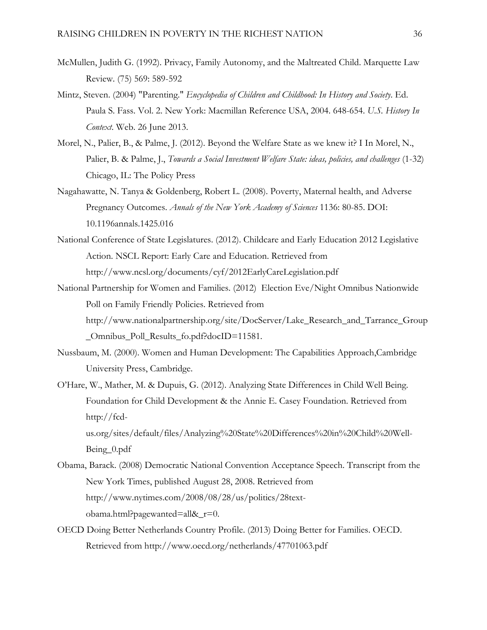- McMullen, Judith G. (1992). Privacy, Family Autonomy, and the Maltreated Child. Marquette Law Review. (75) 569: 589-592
- Mintz, Steven. (2004) "Parenting." *Encyclopedia of Children and Childhood: In History and Society*. Ed. Paula S. Fass. Vol. 2. New York: Macmillan Reference USA, 2004. 648-654. *U.S. History In Context*. Web. 26 June 2013.
- Morel, N., Palier, B., & Palme, J. (2012). Beyond the Welfare State as we knew it? I In Morel, N., Palier, B. & Palme, J., *Towards a Social Investment Welfare State: ideas, policies, and challenges* (1-32) Chicago, IL: The Policy Press
- Nagahawatte, N. Tanya & Goldenberg, Robert L. (2008). Poverty, Maternal health, and Adverse Pregnancy Outcomes. *Annals of the New York Academy of Sciences* 1136: 80-85. DOI: 10.1196annals.1425.016
- National Conference of State Legislatures. (2012). Childcare and Early Education 2012 Legislative Action. NSCL Report: Early Care and Education. Retrieved from http://www.ncsl.org/documents/cyf/2012EarlyCareLegislation.pdf
- National Partnership for Women and Families. (2012) Election Eve/Night Omnibus Nationwide Poll on Family Friendly Policies. Retrieved from http://www.nationalpartnership.org/site/DocServer/Lake\_Research\_and\_Tarrance\_Group \_Omnibus\_Poll\_Results\_fo.pdf?docID=11581.
- Nussbaum, M. (2000). Women and Human Development: The Capabilities Approach,Cambridge University Press, Cambridge.
- O'Hare, W., Mather, M. & Dupuis, G. (2012). Analyzing State Differences in Child Well Being. Foundation for Child Development & the Annie E. Casey Foundation. Retrieved from http://fcd-

us.org/sites/default/files/Analyzing%20State%20Differences%20in%20Child%20Well-Being\_0.pdf

- Obama, Barack. (2008) Democratic National Convention Acceptance Speech. Transcript from the New York Times, published August 28, 2008. Retrieved from http://www.nytimes.com/2008/08/28/us/politics/28textobama.html?pagewanted=all&\_r=0.
- OECD Doing Better Netherlands Country Profile. (2013) Doing Better for Families. OECD. Retrieved from http://www.oecd.org/netherlands/47701063.pdf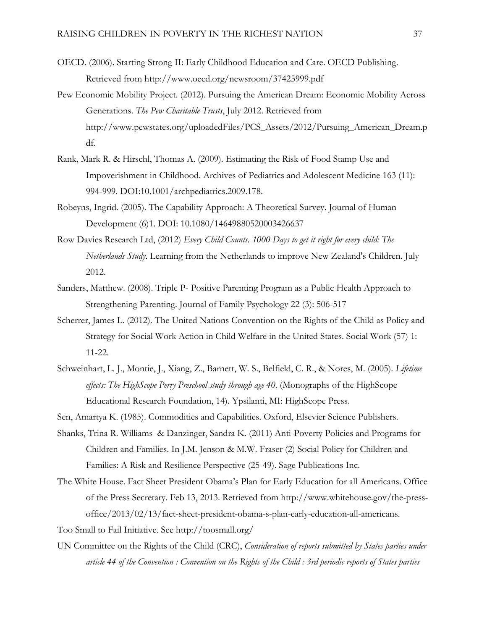- OECD. (2006). Starting Strong II: Early Childhood Education and Care. OECD Publishing. Retrieved from http://www.oecd.org/newsroom/37425999.pdf
- Pew Economic Mobility Project. (2012). Pursuing the American Dream: Economic Mobility Across Generations. *The Pew Charitable Trusts*, July 2012. Retrieved from http://www.pewstates.org/uploadedFiles/PCS\_Assets/2012/Pursuing\_American\_Dream.p df.
- Rank, Mark R. & Hirschl, Thomas A. (2009). Estimating the Risk of Food Stamp Use and Impoverishment in Childhood. Archives of Pediatrics and Adolescent Medicine 163 (11): 994-999. DOI:10.1001/archpediatrics.2009.178.
- Robeyns, Ingrid. (2005). The Capability Approach: A Theoretical Survey. Journal of Human Development (6)1. DOI: 10.1080/14649880520003426637
- Row Davies Research Ltd, (2012) *Every Child Counts. 1000 Days to get it right for every child: The Netherlands Study*. Learning from the Netherlands to improve New Zealand's Children. July 2012.
- Sanders, Matthew. (2008). Triple P- Positive Parenting Program as a Public Health Approach to Strengthening Parenting. Journal of Family Psychology 22 (3): 506-517
- Scherrer, James L. (2012). The United Nations Convention on the Rights of the Child as Policy and Strategy for Social Work Action in Child Welfare in the United States. Social Work (57) 1: 11-22.
- Schweinhart, L. J., Montie, J., Xiang, Z., Barnett, W. S., Belfield, C. R., & Nores, M. (2005). *Lifetime effects: The HighScope Perry Preschool study through age 40*. (Monographs of the HighScope Educational Research Foundation, 14). Ypsilanti, MI: HighScope Press.
- Sen, Amartya K. (1985). Commodities and Capabilities. Oxford, Elsevier Science Publishers.
- Shanks, Trina R. Williams & Danzinger, Sandra K. (2011) Anti-Poverty Policies and Programs for Children and Families. In J.M. Jenson & M.W. Fraser (2) Social Policy for Children and Families: A Risk and Resilience Perspective (25-49). Sage Publications Inc.
- The White House. Fact Sheet President Obama's Plan for Early Education for all Americans. Office of the Press Secretary. Feb 13, 2013. Retrieved from http://www.whitehouse.gov/the-pressoffice/2013/02/13/fact-sheet-president-obama-s-plan-early-education-all-americans.
- Too Small to Fail Initiative. See http://toosmall.org/
- UN Committee on the Rights of the Child (CRC), *Consideration of reports submitted by States parties under article 44 of the Convention : Convention on the Rights of the Child : 3rd periodic reports of States parties*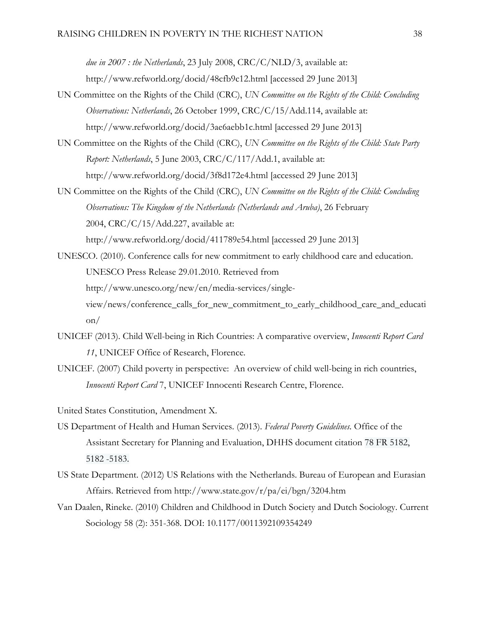*due in 2007 : the Netherlands*, 23 July 2008, CRC/C/NLD/3, available at:

http://www.refworld.org/docid/48cfb9c12.html [accessed 29 June 2013]

- UN Committee on the Rights of the Child (CRC), *UN Committee on the Rights of the Child: Concluding Observations: Netherlands*, 26 October 1999, CRC/C/15/Add.114, available at: http://www.refworld.org/docid/3ae6aebb1c.html [accessed 29 June 2013]
- UN Committee on the Rights of the Child (CRC), *UN Committee on the Rights of the Child: State Party Report: Netherlands*, 5 June 2003, CRC/C/117/Add.1, available at: http://www.refworld.org/docid/3f8d172e4.html [accessed 29 June 2013]
- UN Committee on the Rights of the Child (CRC), *UN Committee on the Rights of the Child: Concluding Observations: The Kingdom of the Netherlands (Netherlands and Aruba)*, 26 February 2004, CRC/C/15/Add.227, available at:

http://www.refworld.org/docid/411789e54.html [accessed 29 June 2013]

- UNESCO. (2010). Conference calls for new commitment to early childhood care and education. UNESCO Press Release 29.01.2010. Retrieved from http://www.unesco.org/new/en/media-services/singleview/news/conference\_calls\_for\_new\_commitment\_to\_early\_childhood\_care\_and\_educati on/
- UNICEF (2013). Child Well-being in Rich Countries: A comparative overview, *Innocenti Report Card 11*, UNICEF Office of Research, Florence.
- UNICEF. (2007) Child poverty in perspective: An overview of child well-being in rich countries, *Innocenti Report Card* 7, UNICEF Innocenti Research Centre, Florence.

United States Constitution, Amendment X.

- US Department of Health and Human Services. (2013). *Federal Poverty Guidelines.* Office of the Assistant Secretary for Planning and Evaluation, DHHS document citation 78 FR 5182, 5182 -5183.
- US State Department. (2012) US Relations with the Netherlands. Bureau of European and Eurasian Affairs. Retrieved from http://www.state.gov/r/pa/ei/bgn/3204.htm
- Van Daalen, Rineke. (2010) Children and Childhood in Dutch Society and Dutch Sociology. Current Sociology 58 (2): 351-368. DOI: 10.1177/0011392109354249